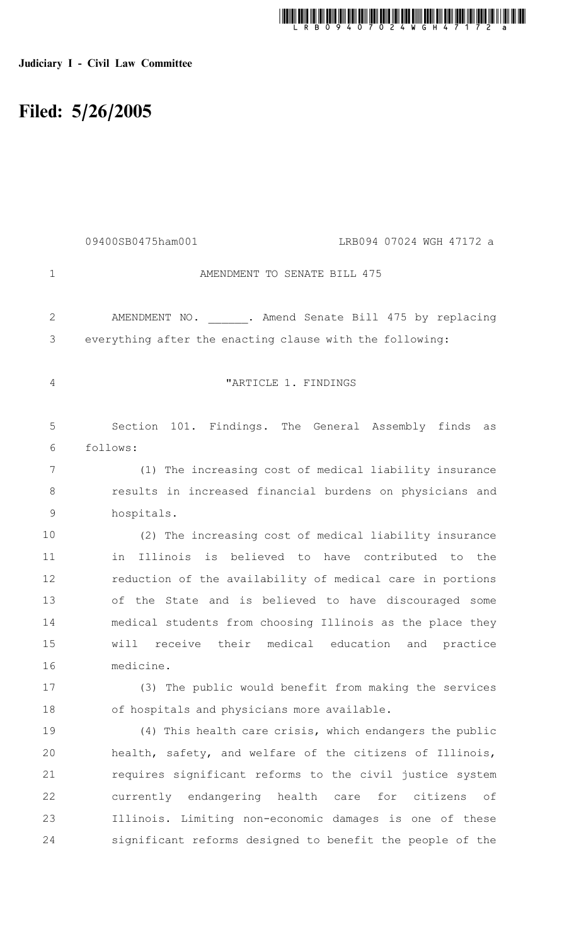# t mund mit allen fan de tijd om de konstantin tijd fan de tijd tijd de konstantin de konstantin m

### Judiciary I - Civil Law Committee

## Filed: 5/26/2005

|               | 09400SB0475ham001<br>LRB094 07024 WGH 47172 a             |
|---------------|-----------------------------------------------------------|
| $\mathbf{1}$  | AMENDMENT TO SENATE BILL 475                              |
| $\mathbf{2}$  | AMENDMENT NO. . Amend Senate Bill 475 by replacing        |
| 3             | everything after the enacting clause with the following:  |
| 4             | "ARTICLE 1. FINDINGS                                      |
| 5             | Section 101. Findings. The General Assembly finds<br>as   |
| 6             | follows:                                                  |
| 7             | (1) The increasing cost of medical liability insurance    |
| 8             | results in increased financial burdens on physicians and  |
| $\mathcal{G}$ | hospitals.                                                |
| 10            | (2) The increasing cost of medical liability insurance    |
| 11            | Illinois is believed to have contributed to the<br>in     |
| 12            | reduction of the availability of medical care in portions |
| 13            | of the State and is believed to have discouraged some     |
| 14            | medical students from choosing Illinois as the place they |
| 15            | will receive their medical education and<br>practice      |
| 16            | medicine.                                                 |
| 17            | (3) The public would benefit from making the services     |
| 18            | of hospitals and physicians more available.               |
| 19            | (4) This health care crisis, which endangers the public   |
| 20            | health, safety, and welfare of the citizens of Illinois,  |
| 21            | requires significant reforms to the civil justice system  |
| 22            | currently endangering health care for citizens<br>оf      |
| 23            | Illinois. Limiting non-economic damages is one of these   |
| 24            | significant reforms designed to benefit the people of the |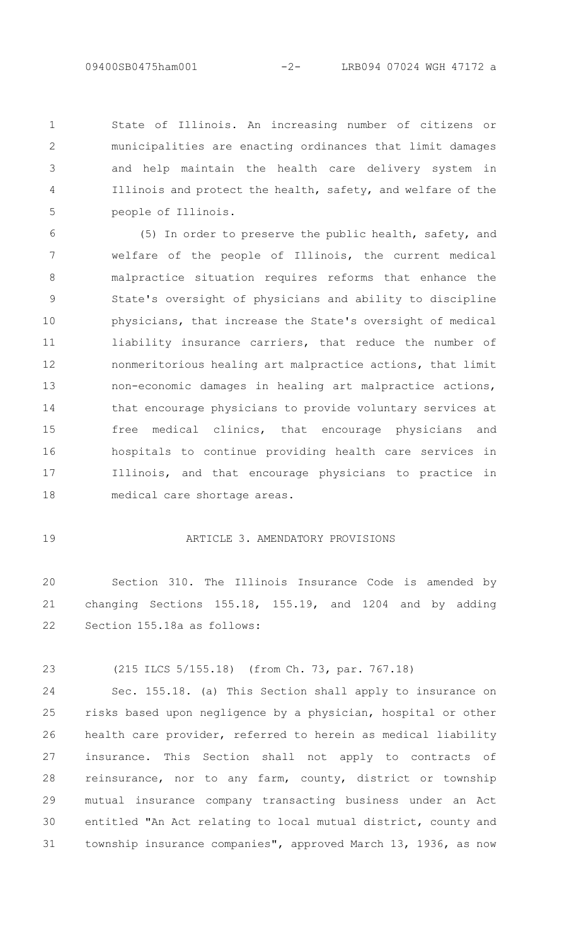State of Illinois. An increasing number of citizens or municipalities are enacting ordinances that limit damages and help maintain the health care delivery system in Illinois and protect the health, safety, and welfare of the people of Illinois. 1  $\mathcal{P}$ 3 4 5

(5) In order to preserve the public health, safety, and welfare of the people of Illinois, the current medical malpractice situation requires reforms that enhance the State's oversight of physicians and ability to discipline physicians, that increase the State's oversight of medical liability insurance carriers, that reduce the number of nonmeritorious healing art malpractice actions, that limit non-economic damages in healing art malpractice actions, that encourage physicians to provide voluntary services at free medical clinics, that encourage physicians and hospitals to continue providing health care services in Illinois, and that encourage physicians to practice in medical care shortage areas. 6 7 8 9 10 11 12 13 14 15 16 17 18

#### 19

#### ARTICLE 3. AMENDATORY PROVISIONS

Section 310. The Illinois Insurance Code is amended by changing Sections 155.18, 155.19, and 1204 and by adding Section 155.18a as follows: 20 21 22

23

(215 ILCS 5/155.18) (from Ch. 73, par. 767.18)

Sec. 155.18. (a) This Section shall apply to insurance on risks based upon negligence by a physician, hospital or other health care provider, referred to herein as medical liability insurance. This Section shall not apply to contracts of reinsurance, nor to any farm, county, district or township mutual insurance company transacting business under an Act entitled "An Act relating to local mutual district, county and township insurance companies", approved March 13, 1936, as now 24 25 26 27 28 29 30 31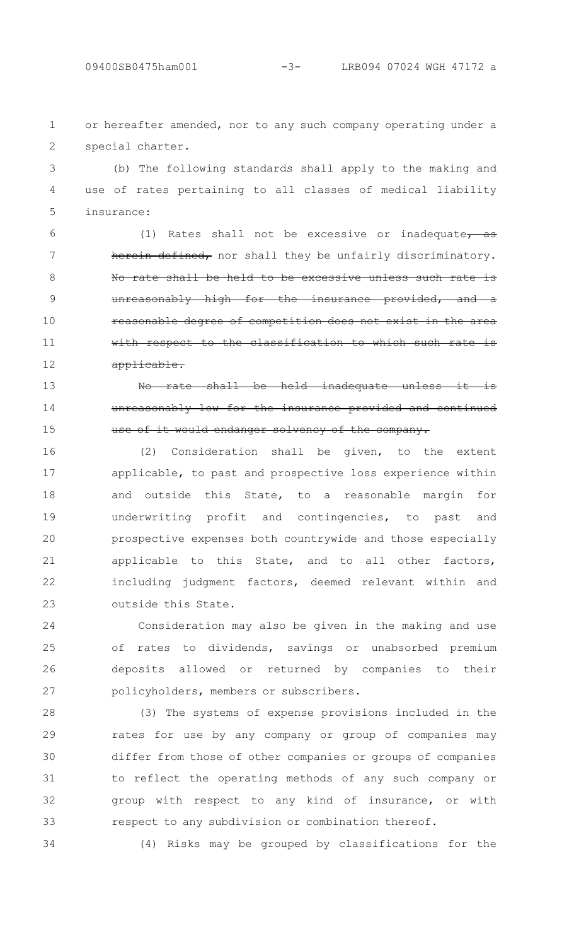6

7

8

9

10

11

12

13

14

15

or hereafter amended, nor to any such company operating under a special charter. 1  $\mathcal{P}$ 

(b) The following standards shall apply to the making and use of rates pertaining to all classes of medical liability insurance: 3 4 5

(1) Rates shall not be excessive or inadequate,  $\frac{a}{a}$ defined, nor shall they be unfairly discriminatory. No rate shall be held to be excessive unless such rate is unreasonably high for the insurance provided, and a reasonable degree of competition does not exist the classification to which applicable.

No rate shall be held inadequate unreasonably low for the insurance provided and use of it would endanger solvency of the company.

(2) Consideration shall be given, to the extent applicable, to past and prospective loss experience within and outside this State, to a reasonable margin for underwriting profit and contingencies, to past and prospective expenses both countrywide and those especially applicable to this State, and to all other factors, including judgment factors, deemed relevant within and outside this State. 16 17 18 19 20 21 22 23

Consideration may also be given in the making and use of rates to dividends, savings or unabsorbed premium deposits allowed or returned by companies to their policyholders, members or subscribers. 24 25 26 27

(3) The systems of expense provisions included in the rates for use by any company or group of companies may differ from those of other companies or groups of companies to reflect the operating methods of any such company or group with respect to any kind of insurance, or with respect to any subdivision or combination thereof. 28 29 30 31 32 33

34

(4) Risks may be grouped by classifications for the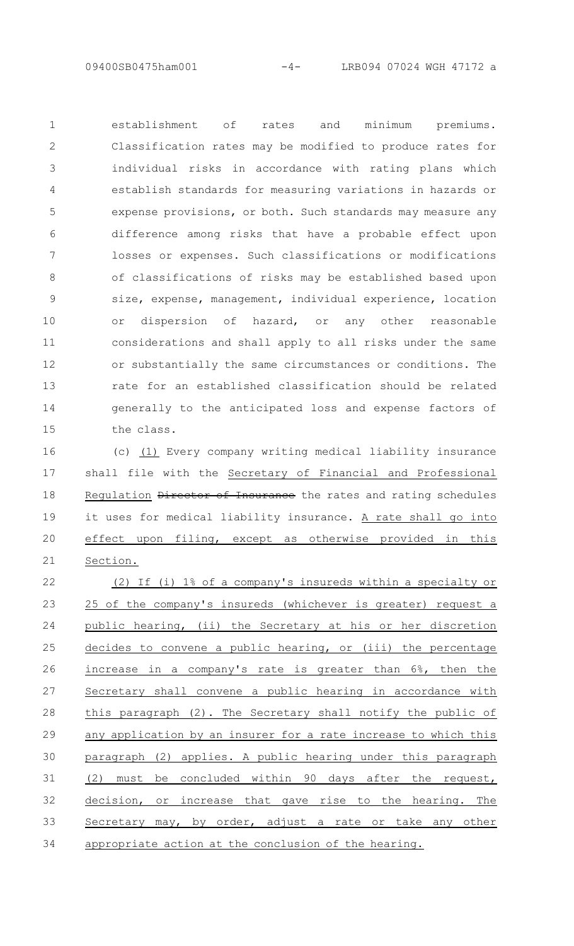establishment of rates and minimum premiums. Classification rates may be modified to produce rates for individual risks in accordance with rating plans which establish standards for measuring variations in hazards or expense provisions, or both. Such standards may measure any difference among risks that have a probable effect upon losses or expenses. Such classifications or modifications of classifications of risks may be established based upon size, expense, management, individual experience, location or dispersion of hazard, or any other reasonable considerations and shall apply to all risks under the same or substantially the same circumstances or conditions. The rate for an established classification should be related generally to the anticipated loss and expense factors of the class. 1  $\mathcal{P}$ 3 4 5 6 7 8 9 10 11 12 13 14 15

(c) (1) Every company writing medical liability insurance shall file with the Secretary of Financial and Professional Regulation Director of Insurance the rates and rating schedules it uses for medical liability insurance. A rate shall go into effect upon filing, except as otherwise provided in this Section. 16 17 18 19 20 21

(2) If (i) 1% of a company's insureds within a specialty or 25 of the company's insureds (whichever is greater) request a public hearing, (ii) the Secretary at his or her discretion decides to convene a public hearing, or (iii) the percentage increase in a company's rate is greater than 6%, then the Secretary shall convene a public hearing in accordance with this paragraph (2). The Secretary shall notify the public of any application by an insurer for a rate increase to which this paragraph (2) applies. A public hearing under this paragraph (2) must be concluded within 90 days after the request, decision, or increase that gave rise to the hearing. The Secretary may, by order, adjust a rate or take any other appropriate action at the conclusion of the hearing. 22 23 24 25 26 27 28 29 30 31 32 33 34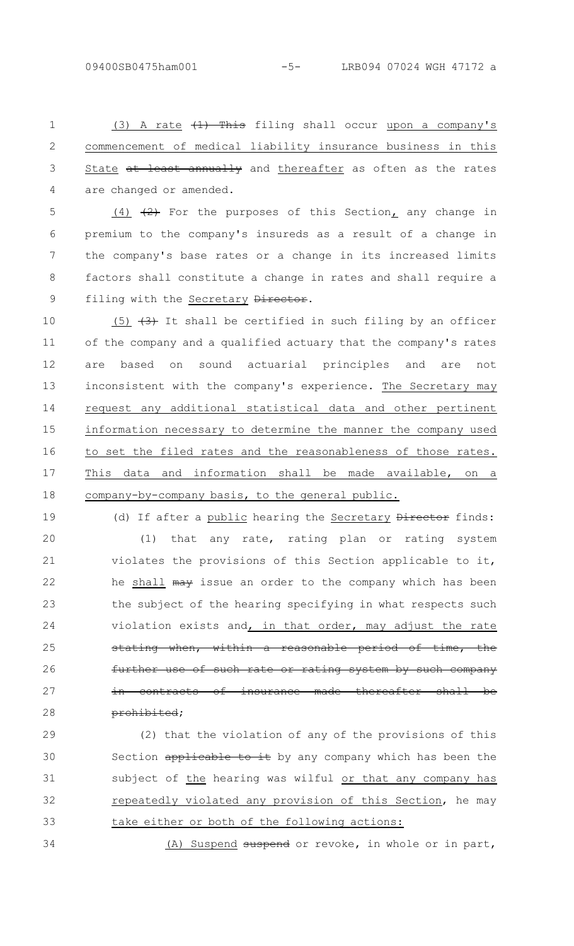(3) A rate  $\{1\}$  This filing shall occur upon a company's commencement of medical liability insurance business in this State at least annually and thereafter as often as the rates are changed or amended. 1  $\mathcal{P}$ 3 4

 $(4)$   $(2)$  For the purposes of this Section, any change in premium to the company's insureds as a result of a change in the company's base rates or a change in its increased limits factors shall constitute a change in rates and shall require a filing with the Secretary Director. 5 6 7 8 9

(5)  $(3)$  It shall be certified in such filing by an officer of the company and a qualified actuary that the company's rates are based on sound actuarial principles and are not inconsistent with the company's experience. The Secretary may request any additional statistical data and other pertinent information necessary to determine the manner the company used to set the filed rates and the reasonableness of those rates. This data and information shall be made available, on a company-by-company basis, to the general public. 10 11 12 13 14 15 16 17 18

19

34

(d) If after a public hearing the Secretary Director finds: (1) that any rate, rating plan or rating system violates the provisions of this Section applicable to it, he shall may issue an order to the company which has been the subject of the hearing specifying in what respects such violation exists and, in that order, may adjust the rate stating when, within a reasonable period of time, the further use of such rate or rating system by such company contracts of insurance made thereafter shall prohibited; 20 21 22 23 24 25 26 27 28

(2) that the violation of any of the provisions of this Section applicable to it by any company which has been the subject of the hearing was wilful or that any company has repeatedly violated any provision of this Section, he may take either or both of the following actions: 29 30 31 32 33

(A) Suspend suspend or revoke, in whole or in part,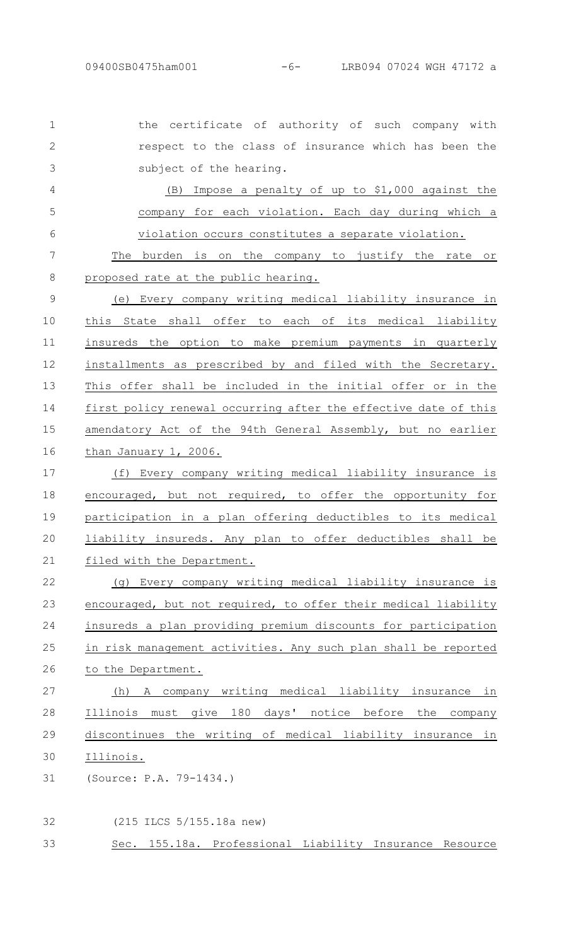the certificate of authority of such company with respect to the class of insurance which has been the subject of the hearing. 1  $\mathcal{P}$ 3

(B) Impose a penalty of up to \$1,000 against the company for each violation. Each day during which a violation occurs constitutes a separate violation. The burden is on the company to justify the rate or proposed rate at the public hearing. (e) Every company writing medical liability insurance in this State shall offer to each of its medical liability insureds the option to make premium payments in quarterly installments as prescribed by and filed with the Secretary. This offer shall be included in the initial offer or in the first policy renewal occurring after the effective date of this amendatory Act of the 94th General Assembly, but no earlier than January 1, 2006. 4 5 6 7 8 9 10 11 12 13 14 15 16

(f) Every company writing medical liability insurance is encouraged, but not required, to offer the opportunity for participation in a plan offering deductibles to its medical liability insureds. Any plan to offer deductibles shall be filed with the Department. 17 18 19 20 21

(g) Every company writing medical liability insurance is encouraged, but not required, to offer their medical liability insureds a plan providing premium discounts for participation in risk management activities. Any such plan shall be reported to the Department. 22 23 24 25 26

(h) A company writing medical liability insurance in Illinois must give 180 days' notice before the company discontinues the writing of medical liability insurance in Illinois. 27 28 29 30

(Source: P.A. 79-1434.) 31

(215 ILCS 5/155.18a new) 32

Sec. 155.18a. Professional Liability Insurance Resource 33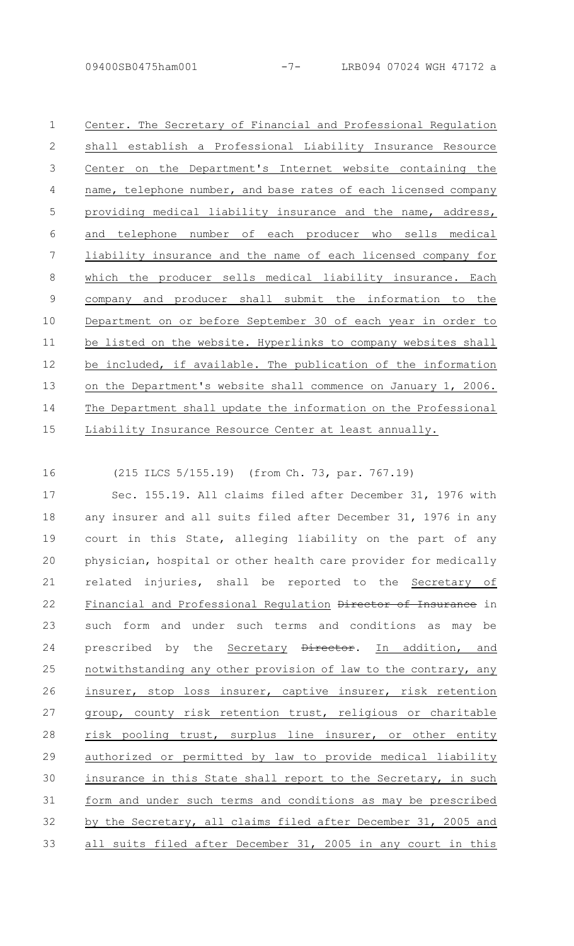| $\mathbf{1}$   | Center. The Secretary of Financial and Professional Regulation  |
|----------------|-----------------------------------------------------------------|
| $\mathbf{2}$   | establish a Professional Liability Insurance Resource<br>shall  |
| 3              | Center on the Department's Internet website containing the      |
| 4              | name, telephone number, and base rates of each licensed company |
| 5              | providing medical liability insurance and the name, address,    |
| 6              | telephone number of each producer who sells medical<br>and      |
| 7              | liability insurance and the name of each licensed company for   |
| 8              | which the producer sells medical liability insurance. Each      |
| $\overline{9}$ | company and producer shall submit the information to the        |
| 10             | Department on or before September 30 of each year in order to   |
| 11             | be listed on the website. Hyperlinks to company websites shall  |
| 12             | be included, if available. The publication of the information   |
| 13             | on the Department's website shall commence on January 1, 2006.  |
| 14             | The Department shall update the information on the Professional |
| 15             | Liability Insurance Resource Center at least annually.          |

16

(215 ILCS 5/155.19) (from Ch. 73, par. 767.19)

Sec. 155.19. All claims filed after December 31, 1976 with any insurer and all suits filed after December 31, 1976 in any court in this State, alleging liability on the part of any physician, hospital or other health care provider for medically related injuries, shall be reported to the Secretary of Financial and Professional Regulation Director of Insurance in such form and under such terms and conditions as may be prescribed by the Secretary Director. In addition, and notwithstanding any other provision of law to the contrary, any insurer, stop loss insurer, captive insurer, risk retention group, county risk retention trust, religious or charitable risk pooling trust, surplus line insurer, or other entity authorized or permitted by law to provide medical liability insurance in this State shall report to the Secretary, in such form and under such terms and conditions as may be prescribed by the Secretary, all claims filed after December 31, 2005 and all suits filed after December 31, 2005 in any court in this 17 18 19 20 21 22 23 24 25 26 27 28 29 30 31 32 33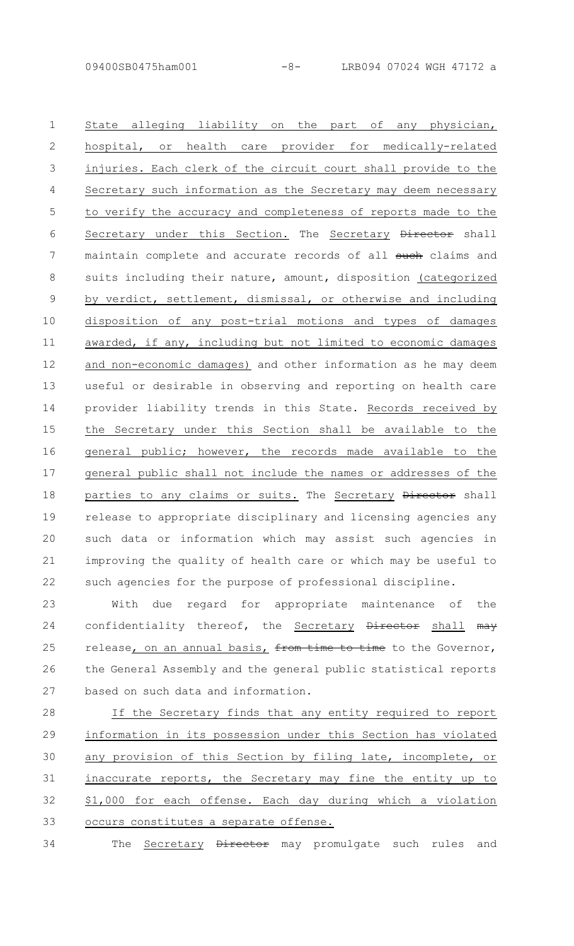State alleging liability on the part of any physician, hospital, or health care provider for medically-related injuries. Each clerk of the circuit court shall provide to the Secretary such information as the Secretary may deem necessary to verify the accuracy and completeness of reports made to the Secretary under this Section. The Secretary Director shall maintain complete and accurate records of all such claims and suits including their nature, amount, disposition (categorized by verdict, settlement, dismissal, or otherwise and including disposition of any post-trial motions and types of damages awarded, if any, including but not limited to economic damages and non-economic damages) and other information as he may deem useful or desirable in observing and reporting on health care provider liability trends in this State. Records received by the Secretary under this Section shall be available to the general public; however, the records made available to the general public shall not include the names or addresses of the parties to any claims or suits. The Secretary Director shall release to appropriate disciplinary and licensing agencies any such data or information which may assist such agencies in improving the quality of health care or which may be useful to such agencies for the purpose of professional discipline. 1  $\mathcal{P}$ 3 4 5 6 7 8 9 10 11 12 13 14 15 16 17 18 19 20 21 22

With due regard for appropriate maintenance of the confidentiality thereof, the Secretary Director shall may release, on an annual basis, from time to time to the Governor, the General Assembly and the general public statistical reports based on such data and information. 23  $24$ 25 26 27

If the Secretary finds that any entity required to report information in its possession under this Section has violated any provision of this Section by filing late, incomplete, or inaccurate reports, the Secretary may fine the entity up to \$1,000 for each offense. Each day during which a violation occurs constitutes a separate offense. 28 29 30 31 32 33

The Secretary Director may promulgate such rules and 34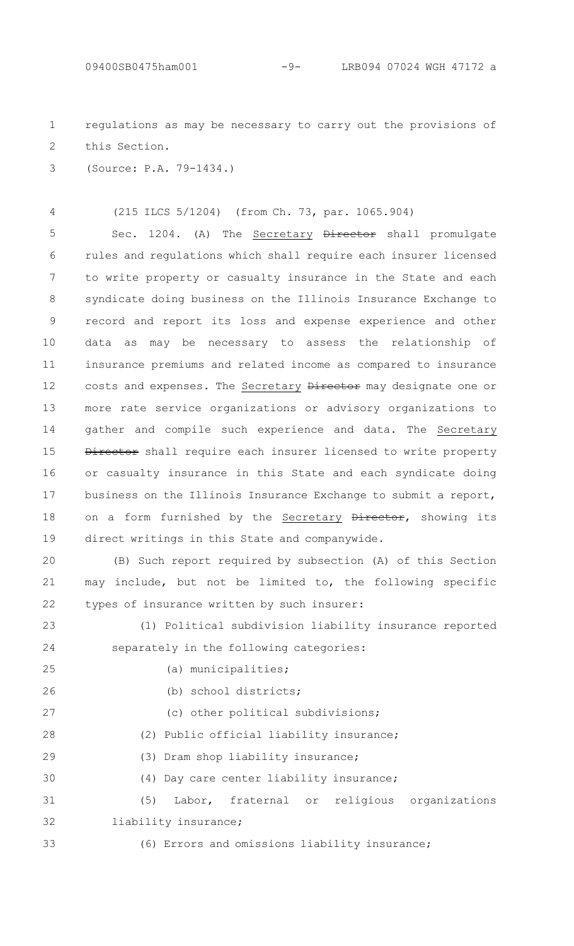regulations as may be necessary to carry out the provisions of this Section. 1 2

(Source: P.A. 79-1434.) 3

4

(215 ILCS 5/1204) (from Ch. 73, par. 1065.904)

Sec. 1204. (A) The Secretary Director shall promulgate rules and regulations which shall require each insurer licensed to write property or casualty insurance in the State and each syndicate doing business on the Illinois Insurance Exchange to record and report its loss and expense experience and other data as may be necessary to assess the relationship of insurance premiums and related income as compared to insurance costs and expenses. The Secretary Director may designate one or more rate service organizations or advisory organizations to gather and compile such experience and data. The Secretary Director shall require each insurer licensed to write property or casualty insurance in this State and each syndicate doing business on the Illinois Insurance Exchange to submit a report, on a form furnished by the Secretary Director, showing its direct writings in this State and companywide. 5 6 7 8 9 10 11 12 13 14 15 16 17 18 19

(B) Such report required by subsection (A) of this Section may include, but not be limited to, the following specific types of insurance written by such insurer:  $20$ 21 22

(1) Political subdivision liability insurance reported separately in the following categories: 23 24

(a) municipalities;

(b) school districts;

(c) other political subdivisions;

(2) Public official liability insurance;

(3) Dram shop liability insurance;

(4) Day care center liability insurance;

(5) Labor, fraternal or religious organizations liability insurance; 31 32

33

25

26

27

28

29

30

(6) Errors and omissions liability insurance;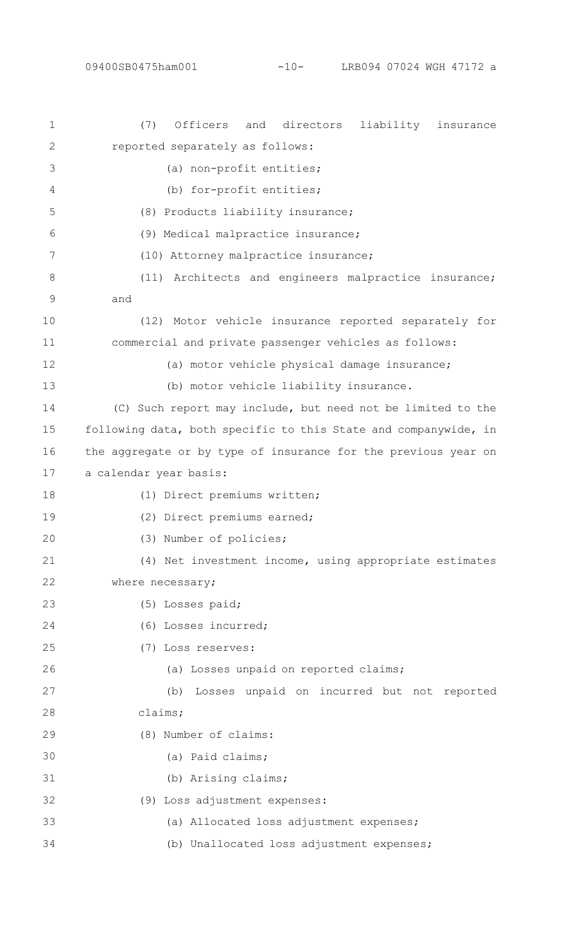| $\mathbf 1$   | (7)<br>Officers<br>and<br>directors<br>liability<br>insurance   |
|---------------|-----------------------------------------------------------------|
| 2             | reported separately as follows:                                 |
| 3             | (a) non-profit entities;                                        |
| 4             | (b) for-profit entities;                                        |
| 5             | (8) Products liability insurance;                               |
| 6             | (9) Medical malpractice insurance;                              |
| 7             | (10) Attorney malpractice insurance;                            |
| 8             | (11) Architects and engineers malpractice insurance;            |
| $\mathcal{G}$ | and                                                             |
| 10            | (12) Motor vehicle insurance reported separately for            |
| 11            | commercial and private passenger vehicles as follows:           |
| 12            | (a) motor vehicle physical damage insurance;                    |
| 13            | (b) motor vehicle liability insurance.                          |
| 14            | (C) Such report may include, but need not be limited to the     |
| 15            | following data, both specific to this State and companywide, in |
| 16            | the aggregate or by type of insurance for the previous year on  |
| 17            | a calendar year basis:                                          |
| 18            | (1) Direct premiums written;                                    |
| 19            | (2) Direct premiums earned;                                     |
| 20            | (3) Number of policies;                                         |
| 21            | (4) Net investment income, using appropriate estimates          |
| 22            | where necessary;                                                |
| 23            | (5) Losses paid;                                                |
| 24            | (6) Losses incurred;                                            |
| 25            | (7) Loss reserves:                                              |
| 26            | (a) Losses unpaid on reported claims;                           |
| 27            | Losses unpaid on incurred but not reported<br>(b)               |
| 28            | claims;                                                         |
| 29            | (8) Number of claims:                                           |
| 30            | (a) Paid claims;                                                |
| 31            | (b) Arising claims;                                             |
| 32            | (9) Loss adjustment expenses:                                   |
| 33            | (a) Allocated loss adjustment expenses;                         |
| 34            | (b) Unallocated loss adjustment expenses;                       |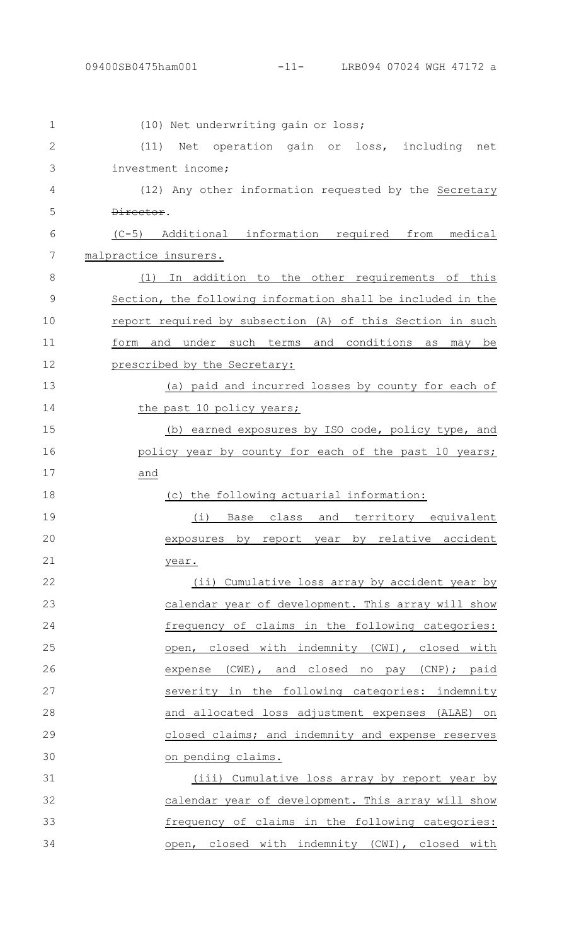| $\mathbf 1$  | (10) Net underwriting gain or loss;                         |
|--------------|-------------------------------------------------------------|
| $\mathbf{2}$ | Net operation gain or loss, including net<br>(11)           |
| 3            | investment income;                                          |
| 4            | (12) Any other information requested by the Secretary       |
| 5            | Director.                                                   |
| 6            | $(C-5)$<br>Additional information required from medical     |
| 7            | malpractice insurers.                                       |
| 8            | (1) In addition to the other requirements of this           |
| 9            | Section, the following information shall be included in the |
| 10           | report required by subsection (A) of this Section in such   |
| 11           | and under such terms and conditions<br>form<br>may be<br>as |
| 12           | prescribed by the Secretary:                                |
| 13           | (a) paid and incurred losses by county for each of          |
| 14           | the past 10 policy years;                                   |
| 15           | (b) earned exposures by ISO code, policy type, and          |
| 16           | policy year by county for each of the past 10 years;        |
| 17           | and                                                         |
| 18           | (c) the following actuarial information:                    |
| 19           | Base class and territory equivalent<br>(i)                  |
| 20           | exposures by report year by relative accident               |
| 21           | year.                                                       |
| 22           | (ii) Cumulative loss array by accident year by              |
| 23           | calendar year of development. This array will show          |
| 24           | frequency of claims in the following categories:            |
| 25           | open, closed with indemnity (CWI), closed with              |
| 26           | expense (CWE), and closed no pay (CNP); paid                |
| 27           | severity in the following categories: indemnity             |
| 28           | and allocated loss adjustment expenses (ALAE) on            |
| 29           | closed claims; and indemnity and expense reserves           |
| 30           | on pending claims.                                          |
| 31           | (iii) Cumulative loss array by report year by               |
| 32           | calendar year of development. This array will show          |
| 33           | frequency of claims in the following categories:            |
| 34           | open, closed with indemnity (CWI), closed with              |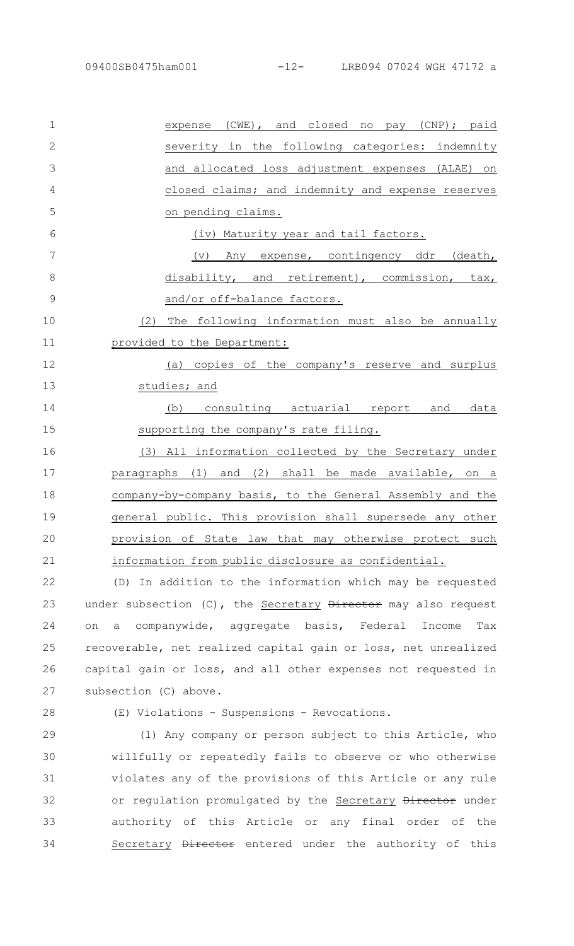| $\mathbf 1$    | expense (CWE), and closed no pay (CNP); paid              |
|----------------|-----------------------------------------------------------|
| $\overline{2}$ | severity in the following categories: indemnity           |
| 3              | and allocated loss adjustment expenses (ALAE) on          |
| 4              | closed claims; and indemnity and expense reserves         |
| 5              | on pending claims.                                        |
| 6              | (iv) Maturity year and tail factors.                      |
| 7              | Any expense, contingency ddr (death,<br>$(\triangledown)$ |
| 8              | disability, and retirement), commission, tax,             |
| 9              | and/or off-balance factors.                               |
| 10             | The following information must also be annually<br>(2)    |
| 11             | provided to the Department:                               |
| 12             | (a) copies of the company's reserve and surplus           |
| 13             | studies; and                                              |
| 14             | consulting actuarial report and data<br>(b)               |
| 15             | supporting the company's rate filing.                     |
| 16             | (3) All information collected by the Secretary under      |
| 17             | paragraphs (1) and (2) shall be made available, on a      |
| 18             | company-by-company basis, to the General Assembly and the |
| 19             | general public. This provision shall supersede any other  |
| 20             | provision of State law that may otherwise protect such    |
| 21             | information from public disclosure as confidential.       |
| 22             | (D) In addition to the information which may be requested |

under subsection (C), the Secretary Director may also request on a companywide, aggregate basis, Federal Income Tax recoverable, net realized capital gain or loss, net unrealized capital gain or loss, and all other expenses not requested in subsection (C) above. 23 24 25 26 27

28

(E) Violations - Suspensions - Revocations.

(1) Any company or person subject to this Article, who willfully or repeatedly fails to observe or who otherwise violates any of the provisions of this Article or any rule or regulation promulgated by the Secretary Director under authority of this Article or any final order of the Secretary **Director** entered under the authority of this 29 30 31 32 33 34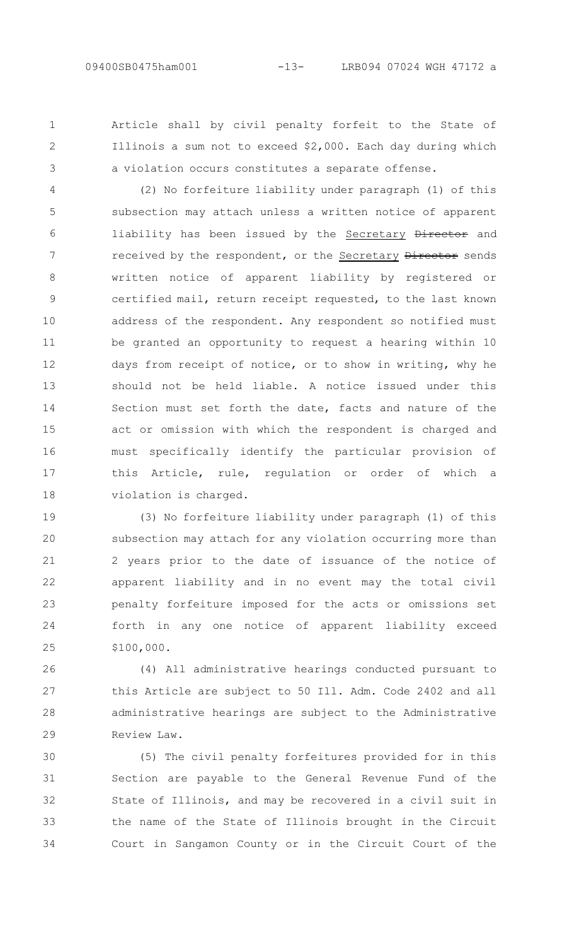1 2

3

Article shall by civil penalty forfeit to the State of Illinois a sum not to exceed \$2,000. Each day during which a violation occurs constitutes a separate offense.

(2) No forfeiture liability under paragraph (1) of this subsection may attach unless a written notice of apparent liability has been issued by the Secretary Director and received by the respondent, or the Secretary Director sends written notice of apparent liability by registered or certified mail, return receipt requested, to the last known address of the respondent. Any respondent so notified must be granted an opportunity to request a hearing within 10 days from receipt of notice, or to show in writing, why he should not be held liable. A notice issued under this Section must set forth the date, facts and nature of the act or omission with which the respondent is charged and must specifically identify the particular provision of this Article, rule, regulation or order of which a violation is charged. 4 5 6 7 8 9 10 11 12 13 14 15 16 17 18

(3) No forfeiture liability under paragraph (1) of this subsection may attach for any violation occurring more than 2 years prior to the date of issuance of the notice of apparent liability and in no event may the total civil penalty forfeiture imposed for the acts or omissions set forth in any one notice of apparent liability exceed \$100,000. 19 20 21 22 23 24 25

(4) All administrative hearings conducted pursuant to this Article are subject to 50 Ill. Adm. Code 2402 and all administrative hearings are subject to the Administrative Review Law. 26 27 28 29

(5) The civil penalty forfeitures provided for in this Section are payable to the General Revenue Fund of the State of Illinois, and may be recovered in a civil suit in the name of the State of Illinois brought in the Circuit Court in Sangamon County or in the Circuit Court of the 30 31 32 33 34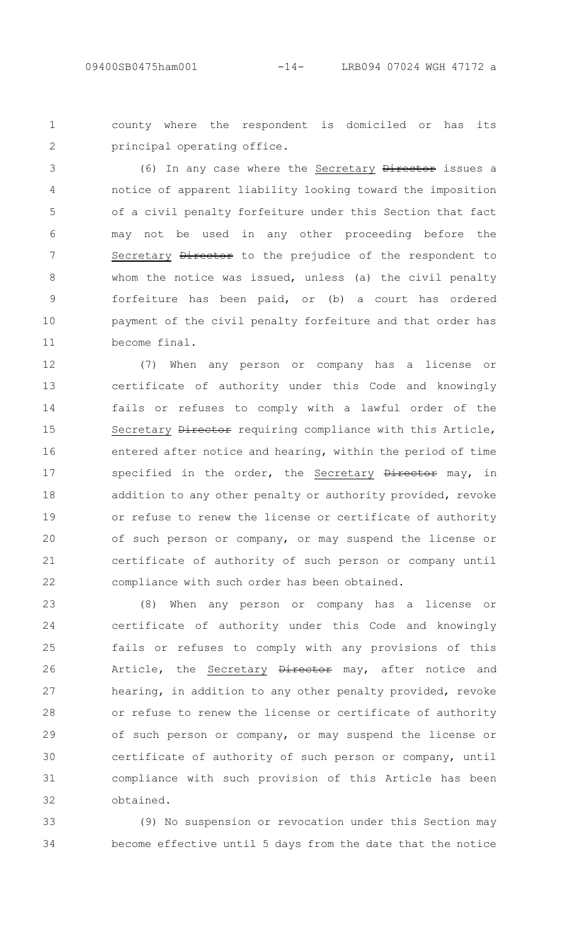1  $\mathcal{P}$  county where the respondent is domiciled or has its principal operating office.

(6) In any case where the Secretary Director issues a notice of apparent liability looking toward the imposition of a civil penalty forfeiture under this Section that fact may not be used in any other proceeding before the Secretary *Director* to the prejudice of the respondent to whom the notice was issued, unless (a) the civil penalty forfeiture has been paid, or (b) a court has ordered payment of the civil penalty forfeiture and that order has become final. 3 4 5 6 7 8 9 10 11

(7) When any person or company has a license or certificate of authority under this Code and knowingly fails or refuses to comply with a lawful order of the Secretary Director requiring compliance with this Article, entered after notice and hearing, within the period of time specified in the order, the Secretary Director may, in addition to any other penalty or authority provided, revoke or refuse to renew the license or certificate of authority of such person or company, or may suspend the license or certificate of authority of such person or company until compliance with such order has been obtained. 12 13 14 15 16 17 18 19 20 21 22

(8) When any person or company has a license or certificate of authority under this Code and knowingly fails or refuses to comply with any provisions of this Article, the Secretary Director may, after notice and hearing, in addition to any other penalty provided, revoke or refuse to renew the license or certificate of authority of such person or company, or may suspend the license or certificate of authority of such person or company, until compliance with such provision of this Article has been obtained. 23 24 25 26 27 28 29 30 31 32

(9) No suspension or revocation under this Section may become effective until 5 days from the date that the notice 33 34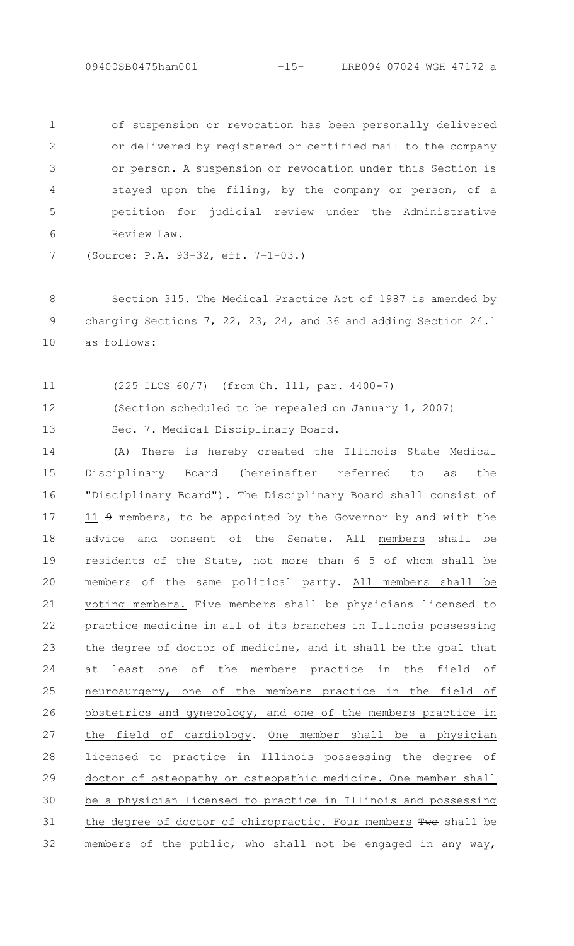of suspension or revocation has been personally delivered or delivered by registered or certified mail to the company or person. A suspension or revocation under this Section is stayed upon the filing, by the company or person, of a petition for judicial review under the Administrative Review Law. 1 2 3 4 5 6

(Source: P.A. 93-32, eff. 7-1-03.) 7

Section 315. The Medical Practice Act of 1987 is amended by changing Sections 7, 22, 23, 24, and 36 and adding Section 24.1 as follows: 8 9 10

(225 ILCS 60/7) (from Ch. 111, par. 4400-7) 11

12

(Section scheduled to be repealed on January 1, 2007)

Sec. 7. Medical Disciplinary Board. 13

(A) There is hereby created the Illinois State Medical Disciplinary Board (hereinafter referred to as the "Disciplinary Board"). The Disciplinary Board shall consist of  $11$   $9$  members, to be appointed by the Governor by and with the advice and consent of the Senate. All members shall be residents of the State, not more than  $6$  5 of whom shall be members of the same political party. All members shall be voting members. Five members shall be physicians licensed to practice medicine in all of its branches in Illinois possessing the degree of doctor of medicine, and it shall be the goal that at least one of the members practice in the field of neurosurgery, one of the members practice in the field of obstetrics and gynecology, and one of the members practice in the field of cardiology. One member shall be a physician licensed to practice in Illinois possessing the degree of doctor of osteopathy or osteopathic medicine. One member shall be a physician licensed to practice in Illinois and possessing the degree of doctor of chiropractic. Four members Two shall be members of the public, who shall not be engaged in any way, 14 15 16 17 18 19 20 21 22 23 24 25 26 27 28 29 30 31 32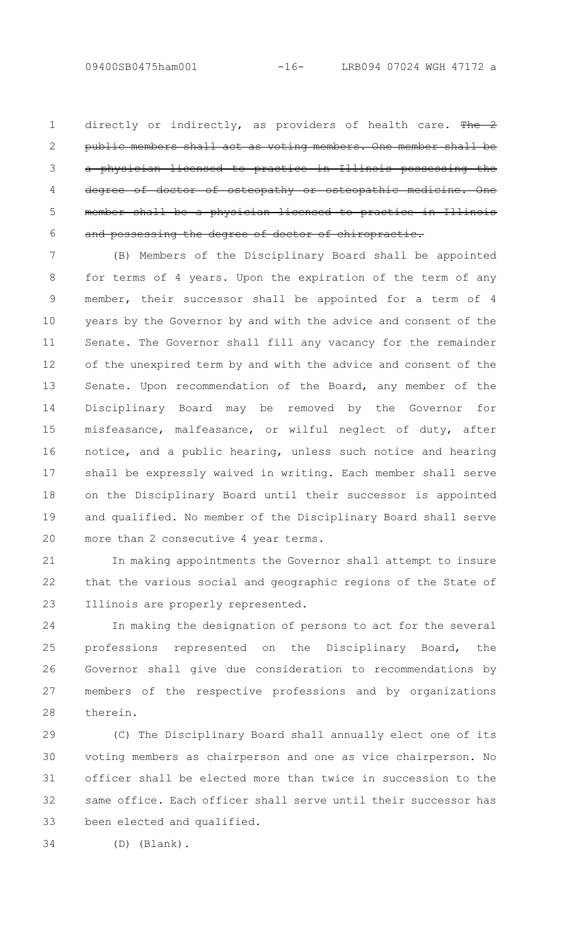directly or indirectly, as providers of health care. The 2 members shall act as voting members. One member shall be a physician licensed to practice in Illinois possessing the of osteopathy or osteopathic member shall be a physician licensed to practice in Illinois and possessing the degree of doctor of chiropractic. 1  $\mathcal{P}$ 3 4 5 6

(B) Members of the Disciplinary Board shall be appointed for terms of 4 years. Upon the expiration of the term of any member, their successor shall be appointed for a term of 4 years by the Governor by and with the advice and consent of the Senate. The Governor shall fill any vacancy for the remainder of the unexpired term by and with the advice and consent of the Senate. Upon recommendation of the Board, any member of the Disciplinary Board may be removed by the Governor for misfeasance, malfeasance, or wilful neglect of duty, after notice, and a public hearing, unless such notice and hearing shall be expressly waived in writing. Each member shall serve on the Disciplinary Board until their successor is appointed and qualified. No member of the Disciplinary Board shall serve more than 2 consecutive 4 year terms. 7 8 9 10 11 12 13 14 15 16 17 18 19 20

In making appointments the Governor shall attempt to insure that the various social and geographic regions of the State of Illinois are properly represented. 21 22 23

In making the designation of persons to act for the several professions represented on the Disciplinary Board, the Governor shall give due consideration to recommendations by members of the respective professions and by organizations therein.  $24$ 25 26 27 28

(C) The Disciplinary Board shall annually elect one of its voting members as chairperson and one as vice chairperson. No officer shall be elected more than twice in succession to the same office. Each officer shall serve until their successor has been elected and qualified. 29 30 31 32 33

(D) (Blank). 34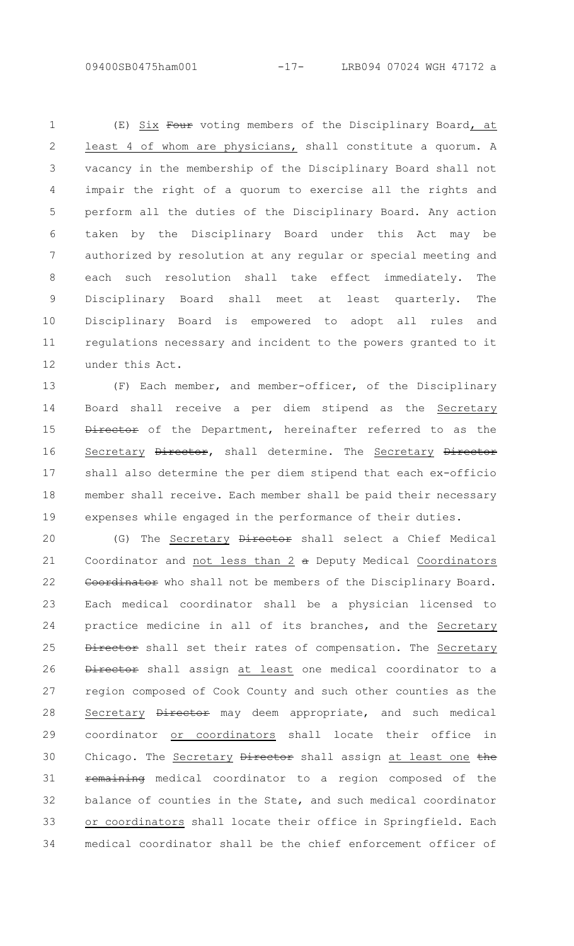(E) Six Four voting members of the Disciplinary Board, at least 4 of whom are physicians, shall constitute a quorum. A vacancy in the membership of the Disciplinary Board shall not impair the right of a quorum to exercise all the rights and perform all the duties of the Disciplinary Board. Any action taken by the Disciplinary Board under this Act may be authorized by resolution at any regular or special meeting and each such resolution shall take effect immediately. The Disciplinary Board shall meet at least quarterly. The Disciplinary Board is empowered to adopt all rules and regulations necessary and incident to the powers granted to it under this Act. 1  $\mathcal{P}$ 3 4 5 6 7 8 9 10 11 12

(F) Each member, and member-officer, of the Disciplinary Board shall receive a per diem stipend as the Secretary Director of the Department, hereinafter referred to as the Secretary Director, shall determine. The Secretary Director shall also determine the per diem stipend that each ex-officio member shall receive. Each member shall be paid their necessary expenses while engaged in the performance of their duties. 13 14 15 16 17 18 19

(G) The Secretary Director shall select a Chief Medical Coordinator and not less than 2 a Deputy Medical Coordinators Coordinator who shall not be members of the Disciplinary Board. Each medical coordinator shall be a physician licensed to practice medicine in all of its branches, and the Secretary Director shall set their rates of compensation. The Secretary Director shall assign at least one medical coordinator to a region composed of Cook County and such other counties as the Secretary Director may deem appropriate, and such medical coordinator or coordinators shall locate their office in Chicago. The Secretary Director shall assign at least one the remaining medical coordinator to a region composed of the balance of counties in the State, and such medical coordinator or coordinators shall locate their office in Springfield. Each medical coordinator shall be the chief enforcement officer of 20 21 22 23 24 25 26 27 28 29 30 31 32 33 34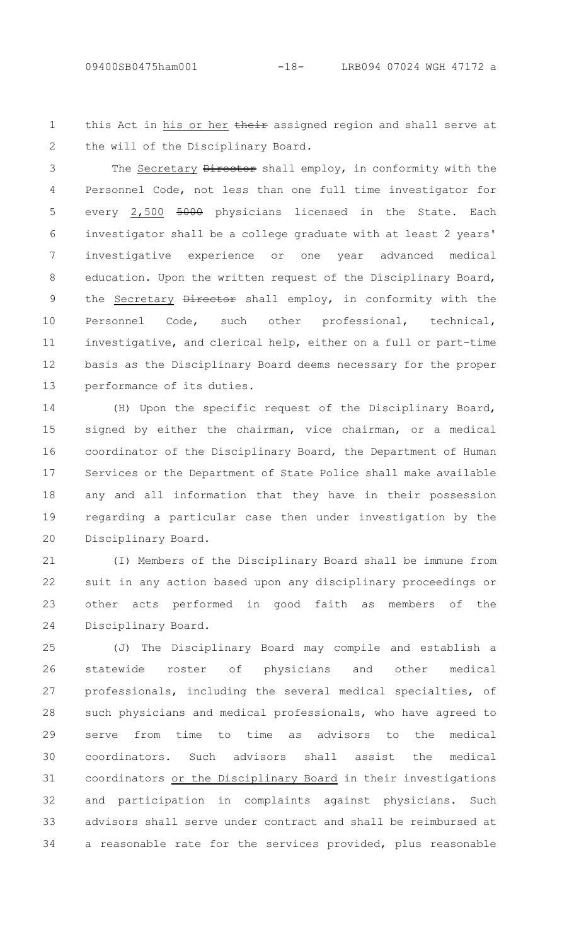this Act in his or her their assigned region and shall serve at the will of the Disciplinary Board. 1 2

The Secretary Director shall employ, in conformity with the Personnel Code, not less than one full time investigator for every 2,500 5000 physicians licensed in the State. Each investigator shall be a college graduate with at least 2 years' investigative experience or one year advanced medical education. Upon the written request of the Disciplinary Board, the Secretary Director shall employ, in conformity with the Personnel Code, such other professional, technical, investigative, and clerical help, either on a full or part-time basis as the Disciplinary Board deems necessary for the proper performance of its duties. 3 4 5 6 7 8 9 10 11 12 13

(H) Upon the specific request of the Disciplinary Board, signed by either the chairman, vice chairman, or a medical coordinator of the Disciplinary Board, the Department of Human Services or the Department of State Police shall make available any and all information that they have in their possession regarding a particular case then under investigation by the Disciplinary Board. 14 15 16 17 18 19 20

(I) Members of the Disciplinary Board shall be immune from suit in any action based upon any disciplinary proceedings or other acts performed in good faith as members of the Disciplinary Board. 21 22 23 24

(J) The Disciplinary Board may compile and establish a statewide roster of physicians and other medical professionals, including the several medical specialties, of such physicians and medical professionals, who have agreed to serve from time to time as advisors to the medical coordinators. Such advisors shall assist the medical coordinators or the Disciplinary Board in their investigations and participation in complaints against physicians. Such advisors shall serve under contract and shall be reimbursed at a reasonable rate for the services provided, plus reasonable 25 26 27 28 29 30 31 32 33 34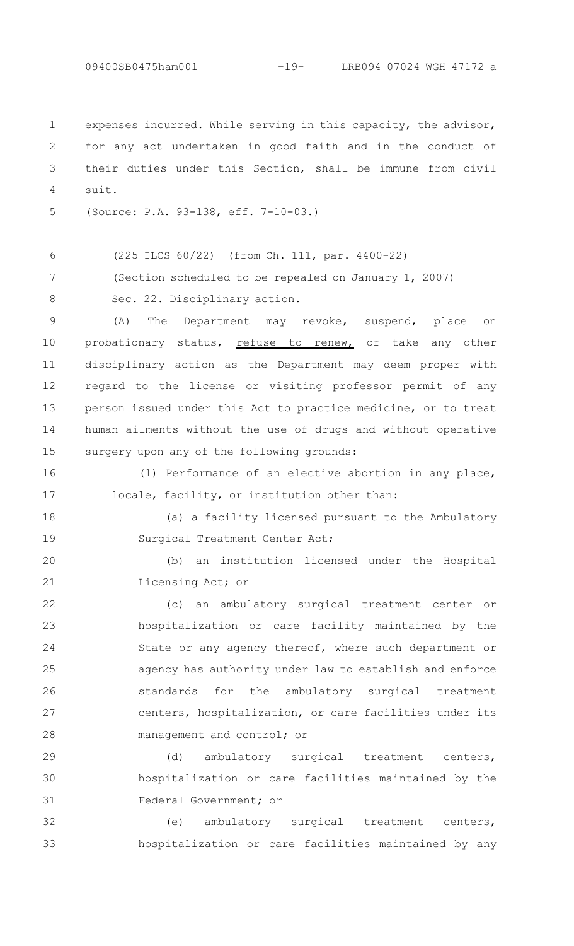expenses incurred. While serving in this capacity, the advisor, for any act undertaken in good faith and in the conduct of their duties under this Section, shall be immune from civil suit. 1  $\mathcal{P}$ 3 4

(Section scheduled to be repealed on January 1, 2007)

(Source: P.A. 93-138, eff. 7-10-03.) 5

(225 ILCS 60/22) (from Ch. 111, par. 4400-22) 6

7

Sec. 22. Disciplinary action.

8 9

(A) The Department may revoke, suspend, place on probationary status, refuse to renew, or take any other disciplinary action as the Department may deem proper with regard to the license or visiting professor permit of any person issued under this Act to practice medicine, or to treat human ailments without the use of drugs and without operative surgery upon any of the following grounds: 10 11 12 13 14 15

(1) Performance of an elective abortion in any place, locale, facility, or institution other than: 16 17

18

19

(a) a facility licensed pursuant to the Ambulatory Surgical Treatment Center Act;

(b) an institution licensed under the Hospital Licensing Act; or 20 21

(c) an ambulatory surgical treatment center or hospitalization or care facility maintained by the State or any agency thereof, where such department or agency has authority under law to establish and enforce standards for the ambulatory surgical treatment centers, hospitalization, or care facilities under its management and control; or 22 23 24 25 26 27 28

(d) ambulatory surgical treatment centers, hospitalization or care facilities maintained by the Federal Government; or 29 30 31

(e) ambulatory surgical treatment centers, hospitalization or care facilities maintained by any 32 33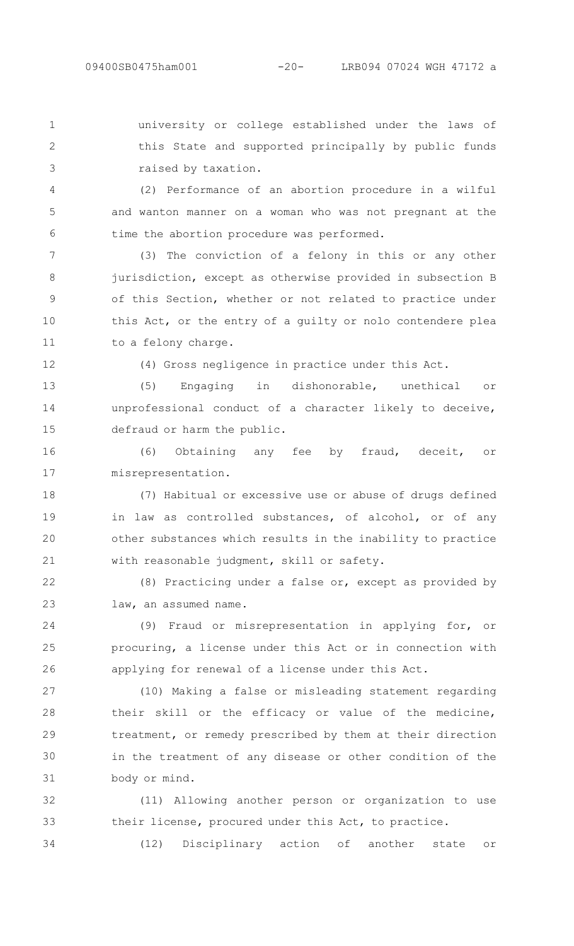university or college established under the laws of this State and supported principally by public funds raised by taxation. 1  $\mathcal{P}$ 

(2) Performance of an abortion procedure in a wilful and wanton manner on a woman who was not pregnant at the time the abortion procedure was performed.

(3) The conviction of a felony in this or any other jurisdiction, except as otherwise provided in subsection B of this Section, whether or not related to practice under this Act, or the entry of a guilty or nolo contendere plea to a felony charge. 7 8 9 10 11

12

34

3

4

5

6

(4) Gross negligence in practice under this Act.

(5) Engaging in dishonorable, unethical or unprofessional conduct of a character likely to deceive, defraud or harm the public. 13 14 15

(6) Obtaining any fee by fraud, deceit, or misrepresentation. 16 17

(7) Habitual or excessive use or abuse of drugs defined in law as controlled substances, of alcohol, or of any other substances which results in the inability to practice with reasonable judgment, skill or safety. 18 19 20 21

(8) Practicing under a false or, except as provided by law, an assumed name. 22 23

(9) Fraud or misrepresentation in applying for, or procuring, a license under this Act or in connection with applying for renewal of a license under this Act. 24 25 26

(10) Making a false or misleading statement regarding their skill or the efficacy or value of the medicine, treatment, or remedy prescribed by them at their direction in the treatment of any disease or other condition of the body or mind. 27 28 29 30 31

(11) Allowing another person or organization to use their license, procured under this Act, to practice. 32 33

(12) Disciplinary action of another state or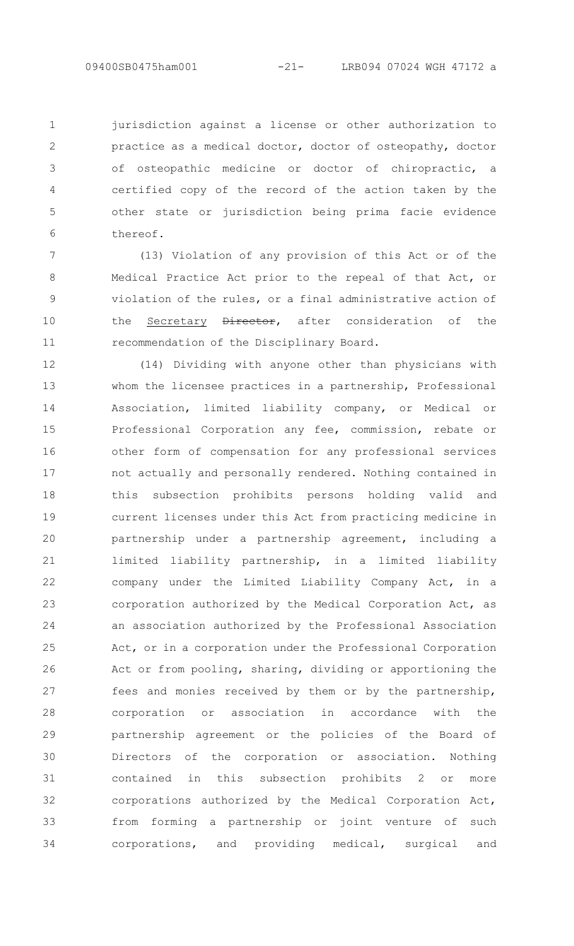jurisdiction against a license or other authorization to practice as a medical doctor, doctor of osteopathy, doctor of osteopathic medicine or doctor of chiropractic, a certified copy of the record of the action taken by the other state or jurisdiction being prima facie evidence thereof. 1  $\mathcal{P}$ 3 4 5 6

(13) Violation of any provision of this Act or of the Medical Practice Act prior to the repeal of that Act, or violation of the rules, or a final administrative action of the Secretary Director, after consideration of the recommendation of the Disciplinary Board. 7 8 9 10 11

(14) Dividing with anyone other than physicians with whom the licensee practices in a partnership, Professional Association, limited liability company, or Medical or Professional Corporation any fee, commission, rebate or other form of compensation for any professional services not actually and personally rendered. Nothing contained in this subsection prohibits persons holding valid and current licenses under this Act from practicing medicine in partnership under a partnership agreement, including a limited liability partnership, in a limited liability company under the Limited Liability Company Act, in a corporation authorized by the Medical Corporation Act, as an association authorized by the Professional Association Act, or in a corporation under the Professional Corporation Act or from pooling, sharing, dividing or apportioning the fees and monies received by them or by the partnership, corporation or association in accordance with the partnership agreement or the policies of the Board of Directors of the corporation or association. Nothing contained in this subsection prohibits 2 or more corporations authorized by the Medical Corporation Act, from forming a partnership or joint venture of such corporations, and providing medical, surgical and 12 13 14 15 16 17 18 19 20 21 22 23 24 25 26 27 28 29 30 31 32 33 34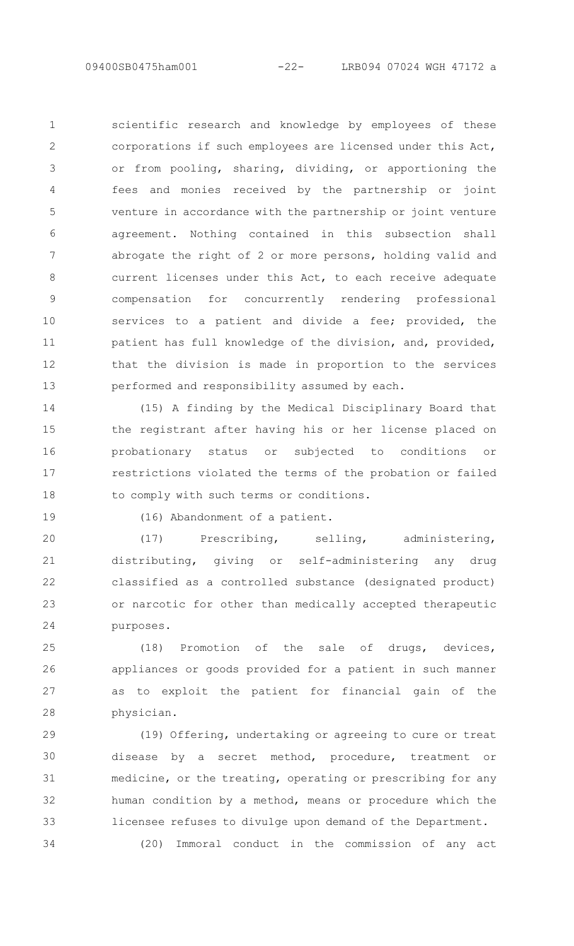scientific research and knowledge by employees of these corporations if such employees are licensed under this Act, or from pooling, sharing, dividing, or apportioning the fees and monies received by the partnership or joint venture in accordance with the partnership or joint venture agreement. Nothing contained in this subsection shall abrogate the right of 2 or more persons, holding valid and current licenses under this Act, to each receive adequate compensation for concurrently rendering professional services to a patient and divide a fee; provided, the patient has full knowledge of the division, and, provided, that the division is made in proportion to the services performed and responsibility assumed by each. 1  $\mathcal{P}$ 3 4 5 6 7 8 9 10 11 12 13

(15) A finding by the Medical Disciplinary Board that the registrant after having his or her license placed on probationary status or subjected to conditions or restrictions violated the terms of the probation or failed to comply with such terms or conditions. 14 15 16 17 18

19

34

(16) Abandonment of a patient.

(17) Prescribing, selling, administering, distributing, giving or self-administering any drug classified as a controlled substance (designated product) or narcotic for other than medically accepted therapeutic purposes. 20 21 22 23 24

(18) Promotion of the sale of drugs, devices, appliances or goods provided for a patient in such manner as to exploit the patient for financial gain of the physician. 25 26 27 28

(19) Offering, undertaking or agreeing to cure or treat disease by a secret method, procedure, treatment or medicine, or the treating, operating or prescribing for any human condition by a method, means or procedure which the licensee refuses to divulge upon demand of the Department. 29 30 31 32 33

(20) Immoral conduct in the commission of any act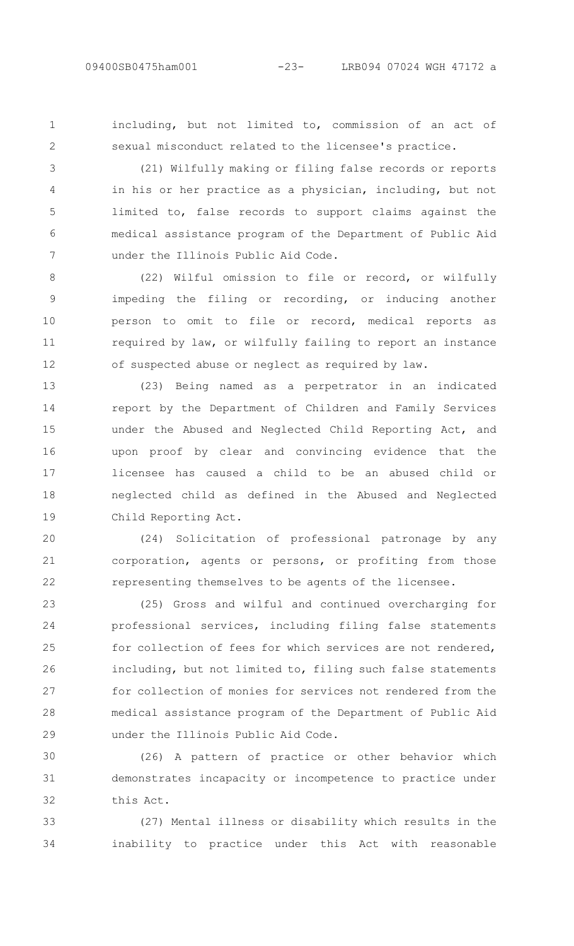1  $\mathcal{P}$  including, but not limited to, commission of an act of sexual misconduct related to the licensee's practice.

(21) Wilfully making or filing false records or reports in his or her practice as a physician, including, but not limited to, false records to support claims against the medical assistance program of the Department of Public Aid under the Illinois Public Aid Code. 3 4 5 6 7

(22) Wilful omission to file or record, or wilfully impeding the filing or recording, or inducing another person to omit to file or record, medical reports as required by law, or wilfully failing to report an instance of suspected abuse or neglect as required by law. 8 9 10 11 12

(23) Being named as a perpetrator in an indicated report by the Department of Children and Family Services under the Abused and Neglected Child Reporting Act, and upon proof by clear and convincing evidence that the licensee has caused a child to be an abused child or neglected child as defined in the Abused and Neglected Child Reporting Act. 13 14 15 16 17 18 19

(24) Solicitation of professional patronage by any corporation, agents or persons, or profiting from those representing themselves to be agents of the licensee. 20 21 22

(25) Gross and wilful and continued overcharging for professional services, including filing false statements for collection of fees for which services are not rendered, including, but not limited to, filing such false statements for collection of monies for services not rendered from the medical assistance program of the Department of Public Aid under the Illinois Public Aid Code. 23 24 25 26 27 28 29

(26) A pattern of practice or other behavior which demonstrates incapacity or incompetence to practice under this Act. 30 31 32

(27) Mental illness or disability which results in the inability to practice under this Act with reasonable 33 34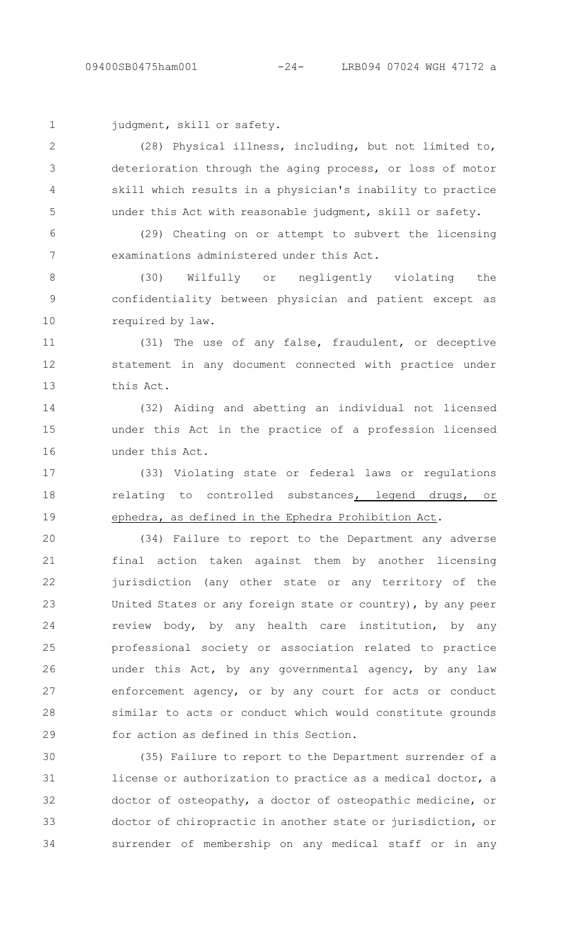```
1
```
judgment, skill or safety.

(28) Physical illness, including, but not limited to, deterioration through the aging process, or loss of motor skill which results in a physician's inability to practice under this Act with reasonable judgment, skill or safety. 2 3 4 5

(29) Cheating on or attempt to subvert the licensing examinations administered under this Act. 6 7

(30) Wilfully or negligently violating the confidentiality between physician and patient except as required by law. 8 9 10

(31) The use of any false, fraudulent, or deceptive statement in any document connected with practice under this Act. 11 12 13

(32) Aiding and abetting an individual not licensed under this Act in the practice of a profession licensed under this Act. 14 15 16

(33) Violating state or federal laws or regulations relating to controlled substances, legend drugs, or ephedra, as defined in the Ephedra Prohibition Act. 17 18 19

(34) Failure to report to the Department any adverse final action taken against them by another licensing jurisdiction (any other state or any territory of the United States or any foreign state or country), by any peer review body, by any health care institution, by any professional society or association related to practice under this Act, by any governmental agency, by any law enforcement agency, or by any court for acts or conduct similar to acts or conduct which would constitute grounds for action as defined in this Section. 20 21 22 23 24 25 26 27 28 29

(35) Failure to report to the Department surrender of a license or authorization to practice as a medical doctor, a doctor of osteopathy, a doctor of osteopathic medicine, or doctor of chiropractic in another state or jurisdiction, or surrender of membership on any medical staff or in any 30 31 32 33 34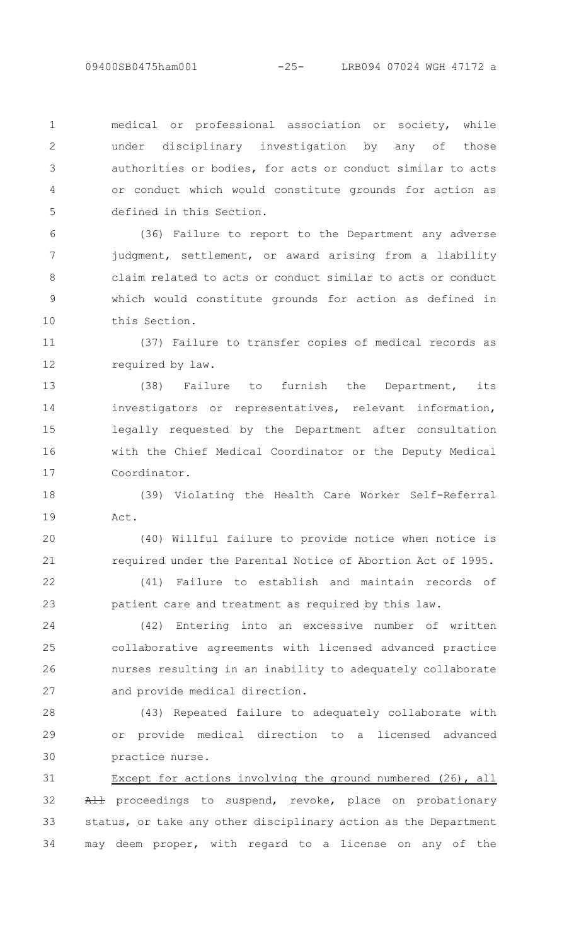medical or professional association or society, while under disciplinary investigation by any of those authorities or bodies, for acts or conduct similar to acts or conduct which would constitute grounds for action as defined in this Section. 1  $\mathcal{P}$ 3 4 5

(36) Failure to report to the Department any adverse judgment, settlement, or award arising from a liability claim related to acts or conduct similar to acts or conduct which would constitute grounds for action as defined in this Section. 6 7 8 9 10

(37) Failure to transfer copies of medical records as required by law. 11 12

(38) Failure to furnish the Department, its investigators or representatives, relevant information, legally requested by the Department after consultation with the Chief Medical Coordinator or the Deputy Medical Coordinator. 13 14 15 16 17

(39) Violating the Health Care Worker Self-Referral Act. 18 19

(40) Willful failure to provide notice when notice is required under the Parental Notice of Abortion Act of 1995. 20 21

(41) Failure to establish and maintain records of patient care and treatment as required by this law. 22 23

(42) Entering into an excessive number of written collaborative agreements with licensed advanced practice nurses resulting in an inability to adequately collaborate and provide medical direction. 24 25 26 27

(43) Repeated failure to adequately collaborate with or provide medical direction to a licensed advanced practice nurse. 28 29 30

Except for actions involving the ground numbered (26), all All proceedings to suspend, revoke, place on probationary status, or take any other disciplinary action as the Department may deem proper, with regard to a license on any of the 31 32 33 34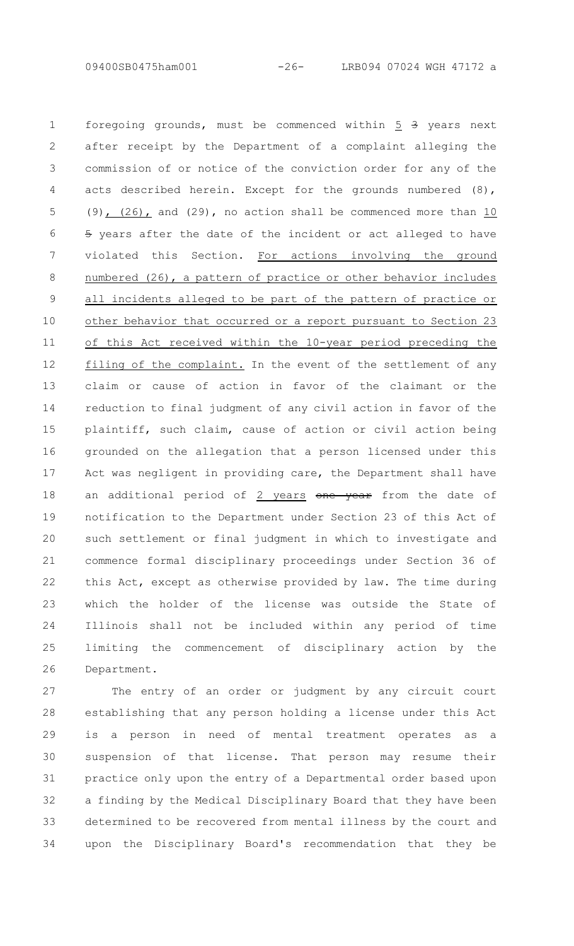foregoing grounds, must be commenced within 5 3 years next after receipt by the Department of a complaint alleging the commission of or notice of the conviction order for any of the acts described herein. Except for the grounds numbered (8), (9)  $(26)$ , and (29), no action shall be commenced more than  $10$ 5 years after the date of the incident or act alleged to have violated this Section. For actions involving the ground numbered (26), a pattern of practice or other behavior includes all incidents alleged to be part of the pattern of practice or other behavior that occurred or a report pursuant to Section 23 of this Act received within the 10-year period preceding the filing of the complaint. In the event of the settlement of any claim or cause of action in favor of the claimant or the reduction to final judgment of any civil action in favor of the plaintiff, such claim, cause of action or civil action being grounded on the allegation that a person licensed under this Act was negligent in providing care, the Department shall have an additional period of 2 years one year from the date of notification to the Department under Section 23 of this Act of such settlement or final judgment in which to investigate and commence formal disciplinary proceedings under Section 36 of this Act, except as otherwise provided by law. The time during which the holder of the license was outside the State of Illinois shall not be included within any period of time limiting the commencement of disciplinary action by the Department. 1 2 3 4 5 6 7 8 9 10 11 12 13 14 15 16 17 18 19 20 21 22 23 24 25 26

The entry of an order or judgment by any circuit court establishing that any person holding a license under this Act is a person in need of mental treatment operates as a suspension of that license. That person may resume their practice only upon the entry of a Departmental order based upon a finding by the Medical Disciplinary Board that they have been determined to be recovered from mental illness by the court and upon the Disciplinary Board's recommendation that they be 27 28 29 30 31 32 33 34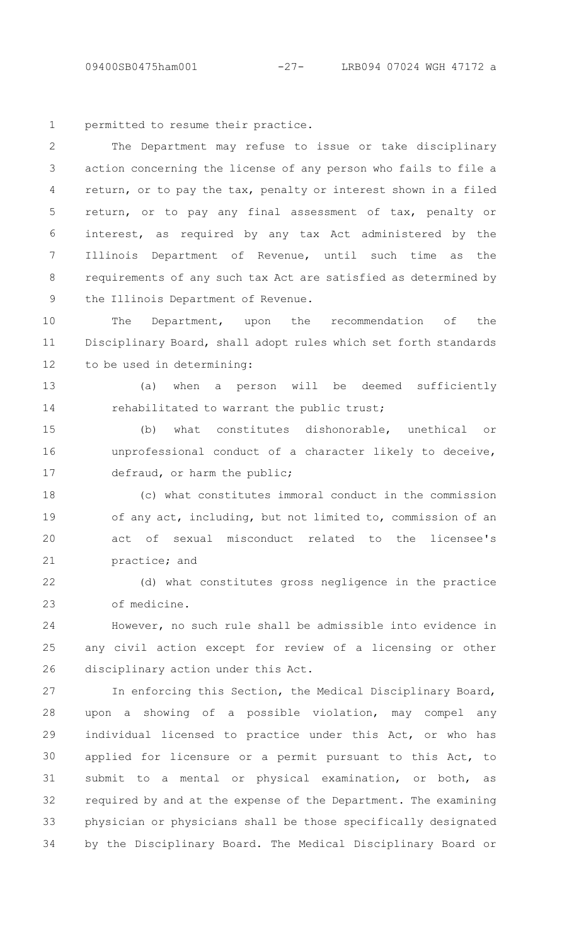permitted to resume their practice. 1

The Department may refuse to issue or take disciplinary action concerning the license of any person who fails to file a return, or to pay the tax, penalty or interest shown in a filed return, or to pay any final assessment of tax, penalty or interest, as required by any tax Act administered by the Illinois Department of Revenue, until such time as the requirements of any such tax Act are satisfied as determined by the Illinois Department of Revenue.  $\mathcal{P}$ 3 4 5 6 7 8 9

The Department, upon the recommendation of the Disciplinary Board, shall adopt rules which set forth standards to be used in determining: 10 11 12

(a) when a person will be deemed sufficiently rehabilitated to warrant the public trust; 13 14

(b) what constitutes dishonorable, unethical or unprofessional conduct of a character likely to deceive, defraud, or harm the public; 15 16 17

(c) what constitutes immoral conduct in the commission of any act, including, but not limited to, commission of an act of sexual misconduct related to the licensee's practice; and 18 19 20 21

(d) what constitutes gross negligence in the practice of medicine. 22 23

However, no such rule shall be admissible into evidence in any civil action except for review of a licensing or other disciplinary action under this Act.  $24$ 25 26

In enforcing this Section, the Medical Disciplinary Board, upon a showing of a possible violation, may compel any individual licensed to practice under this Act, or who has applied for licensure or a permit pursuant to this Act, to submit to a mental or physical examination, or both, as required by and at the expense of the Department. The examining physician or physicians shall be those specifically designated by the Disciplinary Board. The Medical Disciplinary Board or 27 28 29 30 31 32 33 34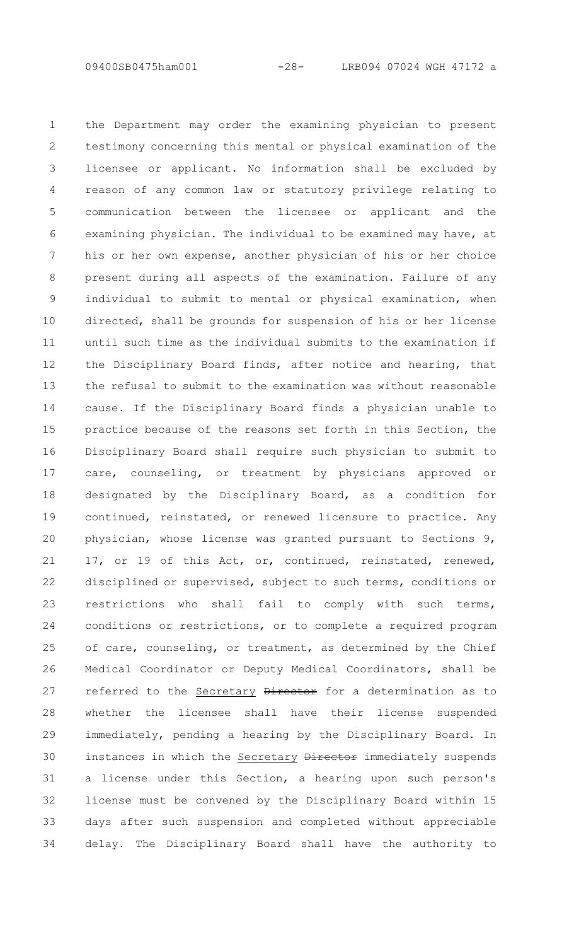the Department may order the examining physician to present testimony concerning this mental or physical examination of the licensee or applicant. No information shall be excluded by reason of any common law or statutory privilege relating to communication between the licensee or applicant and the examining physician. The individual to be examined may have, at his or her own expense, another physician of his or her choice present during all aspects of the examination. Failure of any individual to submit to mental or physical examination, when directed, shall be grounds for suspension of his or her license until such time as the individual submits to the examination if the Disciplinary Board finds, after notice and hearing, that the refusal to submit to the examination was without reasonable cause. If the Disciplinary Board finds a physician unable to practice because of the reasons set forth in this Section, the Disciplinary Board shall require such physician to submit to care, counseling, or treatment by physicians approved or designated by the Disciplinary Board, as a condition for continued, reinstated, or renewed licensure to practice. Any physician, whose license was granted pursuant to Sections 9, 17, or 19 of this Act, or, continued, reinstated, renewed, disciplined or supervised, subject to such terms, conditions or restrictions who shall fail to comply with such terms, conditions or restrictions, or to complete a required program of care, counseling, or treatment, as determined by the Chief Medical Coordinator or Deputy Medical Coordinators, shall be referred to the Secretary Director for a determination as to whether the licensee shall have their license suspended immediately, pending a hearing by the Disciplinary Board. In instances in which the Secretary Director immediately suspends a license under this Section, a hearing upon such person's license must be convened by the Disciplinary Board within 15 days after such suspension and completed without appreciable delay. The Disciplinary Board shall have the authority to 1 2 3 4 5 6 7 8 9 10 11 12 13 14 15 16 17 18 19 20 21 22 23 24 25 26 27 28 29 30 31 32 33 34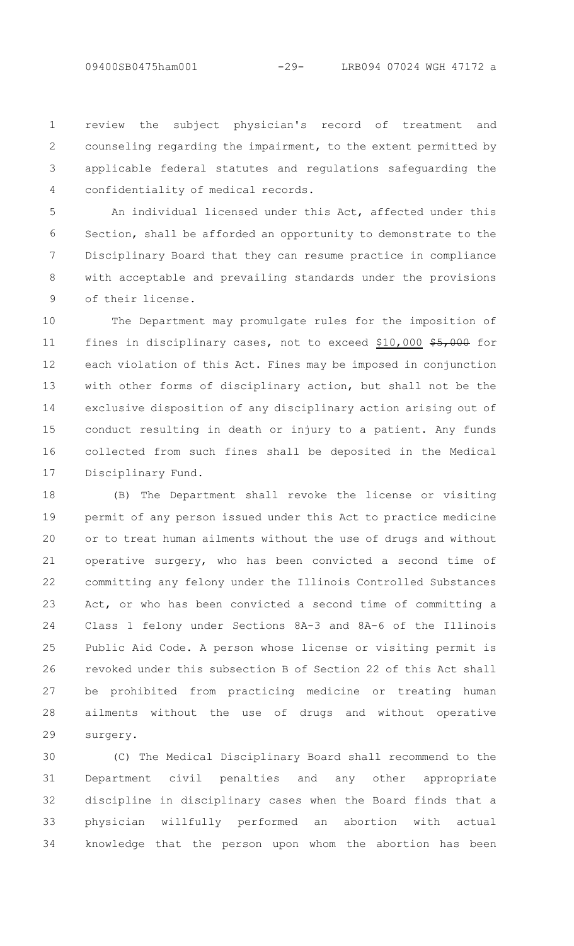review the subject physician's record of treatment and counseling regarding the impairment, to the extent permitted by applicable federal statutes and regulations safeguarding the confidentiality of medical records. 1 2 3 4

An individual licensed under this Act, affected under this Section, shall be afforded an opportunity to demonstrate to the Disciplinary Board that they can resume practice in compliance with acceptable and prevailing standards under the provisions of their license. 5 6 7 8 9

The Department may promulgate rules for the imposition of fines in disciplinary cases, not to exceed  $$10,000$   $$5,000$  for each violation of this Act. Fines may be imposed in conjunction with other forms of disciplinary action, but shall not be the exclusive disposition of any disciplinary action arising out of conduct resulting in death or injury to a patient. Any funds collected from such fines shall be deposited in the Medical Disciplinary Fund. 10 11 12 13 14 15 16 17

(B) The Department shall revoke the license or visiting permit of any person issued under this Act to practice medicine or to treat human ailments without the use of drugs and without operative surgery, who has been convicted a second time of committing any felony under the Illinois Controlled Substances Act, or who has been convicted a second time of committing a Class 1 felony under Sections 8A-3 and 8A-6 of the Illinois Public Aid Code. A person whose license or visiting permit is revoked under this subsection B of Section 22 of this Act shall be prohibited from practicing medicine or treating human ailments without the use of drugs and without operative surgery. 18 19 20 21 22 23 24 25 26 27 28 29

(C) The Medical Disciplinary Board shall recommend to the Department civil penalties and any other appropriate discipline in disciplinary cases when the Board finds that a physician willfully performed an abortion with actual knowledge that the person upon whom the abortion has been 30 31 32 33 34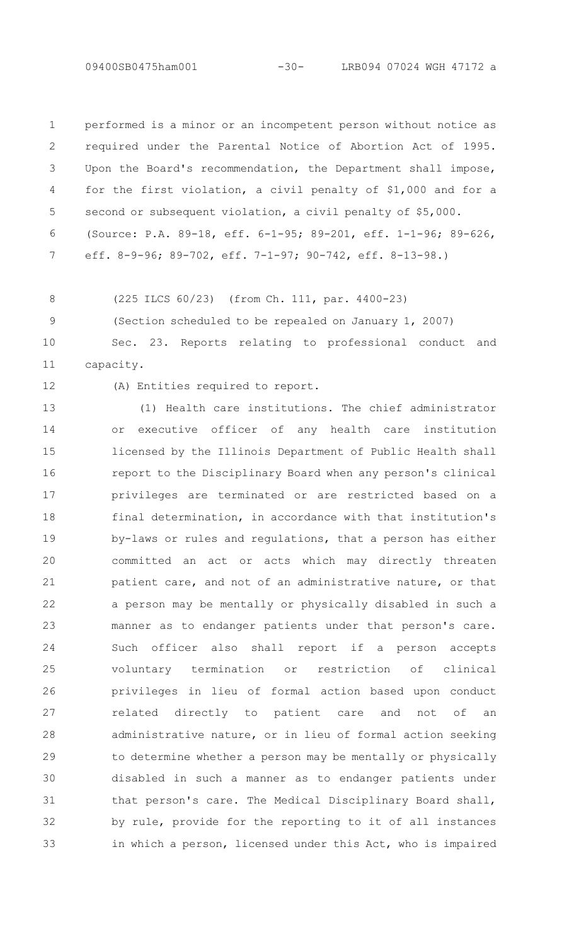performed is a minor or an incompetent person without notice as required under the Parental Notice of Abortion Act of 1995. Upon the Board's recommendation, the Department shall impose, for the first violation, a civil penalty of \$1,000 and for a second or subsequent violation, a civil penalty of \$5,000. (Source: P.A. 89-18, eff. 6-1-95; 89-201, eff. 1-1-96; 89-626, eff. 8-9-96; 89-702, eff. 7-1-97; 90-742, eff. 8-13-98.) 1  $\mathcal{P}$ 3 4 5 6 7

8 9 (225 ILCS 60/23) (from Ch. 111, par. 4400-23)

(Section scheduled to be repealed on January 1, 2007)

Sec. 23. Reports relating to professional conduct and capacity. 10 11

12

(A) Entities required to report.

(1) Health care institutions. The chief administrator or executive officer of any health care institution licensed by the Illinois Department of Public Health shall report to the Disciplinary Board when any person's clinical privileges are terminated or are restricted based on a final determination, in accordance with that institution's by-laws or rules and regulations, that a person has either committed an act or acts which may directly threaten patient care, and not of an administrative nature, or that a person may be mentally or physically disabled in such a manner as to endanger patients under that person's care. Such officer also shall report if a person accepts voluntary termination or restriction of clinical privileges in lieu of formal action based upon conduct related directly to patient care and not of an administrative nature, or in lieu of formal action seeking to determine whether a person may be mentally or physically disabled in such a manner as to endanger patients under that person's care. The Medical Disciplinary Board shall, by rule, provide for the reporting to it of all instances in which a person, licensed under this Act, who is impaired 13 14 15 16 17 18 19 20 21 22 23 24 25 26 27 28 29 30 31 32 33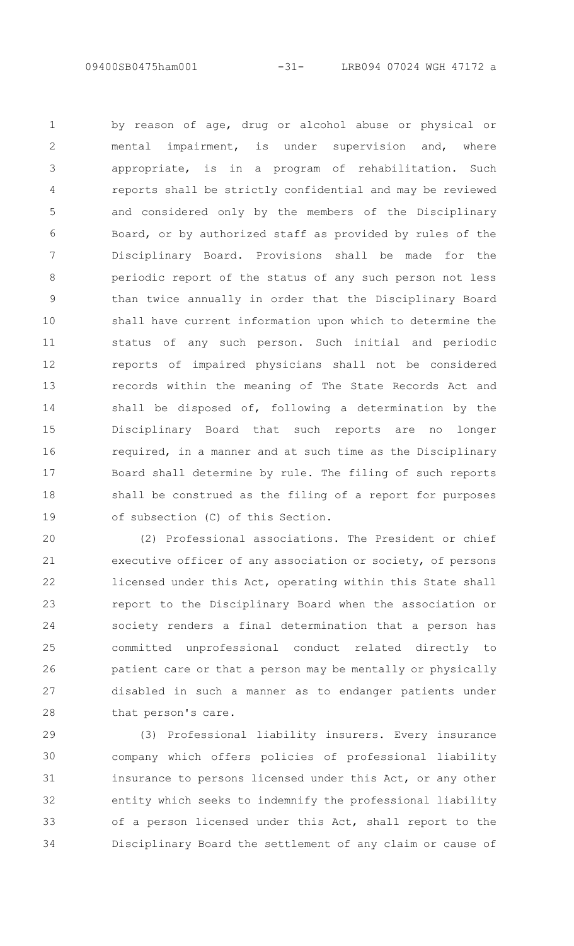by reason of age, drug or alcohol abuse or physical or mental impairment, is under supervision and, where appropriate, is in a program of rehabilitation. Such reports shall be strictly confidential and may be reviewed and considered only by the members of the Disciplinary Board, or by authorized staff as provided by rules of the Disciplinary Board. Provisions shall be made for the periodic report of the status of any such person not less than twice annually in order that the Disciplinary Board shall have current information upon which to determine the status of any such person. Such initial and periodic reports of impaired physicians shall not be considered records within the meaning of The State Records Act and shall be disposed of, following a determination by the Disciplinary Board that such reports are no longer required, in a manner and at such time as the Disciplinary Board shall determine by rule. The filing of such reports shall be construed as the filing of a report for purposes of subsection (C) of this Section. 1  $\mathcal{P}$ 3 4 5 6 7 8 9 10 11 12 13 14 15 16 17 18 19

(2) Professional associations. The President or chief executive officer of any association or society, of persons licensed under this Act, operating within this State shall report to the Disciplinary Board when the association or society renders a final determination that a person has committed unprofessional conduct related directly to patient care or that a person may be mentally or physically disabled in such a manner as to endanger patients under that person's care. 20 21 22 23 24 25 26 27 28

(3) Professional liability insurers. Every insurance company which offers policies of professional liability insurance to persons licensed under this Act, or any other entity which seeks to indemnify the professional liability of a person licensed under this Act, shall report to the Disciplinary Board the settlement of any claim or cause of 29 30 31 32 33 34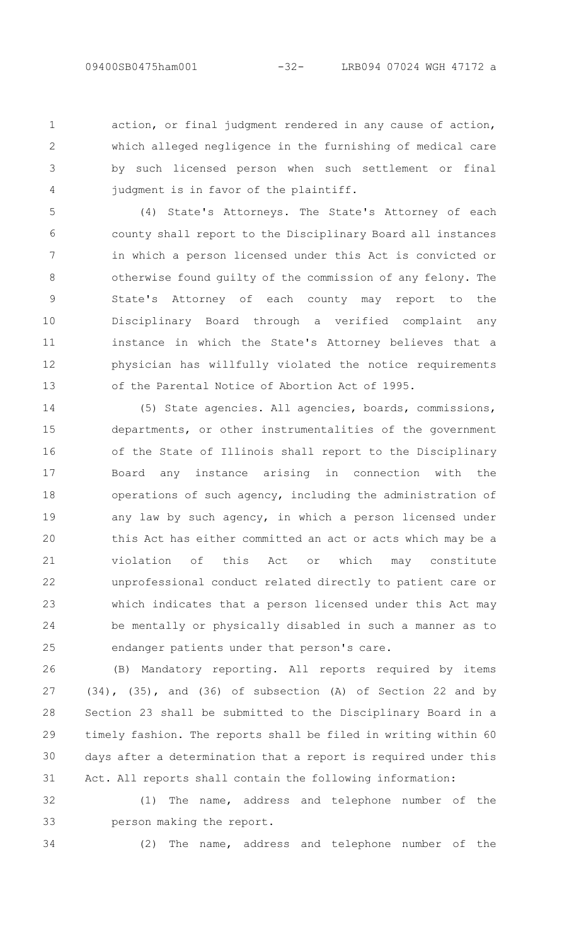1  $\mathcal{P}$ 

3

4

action, or final judgment rendered in any cause of action, which alleged negligence in the furnishing of medical care by such licensed person when such settlement or final judgment is in favor of the plaintiff.

(4) State's Attorneys. The State's Attorney of each county shall report to the Disciplinary Board all instances in which a person licensed under this Act is convicted or otherwise found guilty of the commission of any felony. The State's Attorney of each county may report to the Disciplinary Board through a verified complaint any instance in which the State's Attorney believes that a physician has willfully violated the notice requirements of the Parental Notice of Abortion Act of 1995. 5 6 7 8 9 10 11 12 13

(5) State agencies. All agencies, boards, commissions, departments, or other instrumentalities of the government of the State of Illinois shall report to the Disciplinary Board any instance arising in connection with the operations of such agency, including the administration of any law by such agency, in which a person licensed under this Act has either committed an act or acts which may be a violation of this Act or which may constitute unprofessional conduct related directly to patient care or which indicates that a person licensed under this Act may be mentally or physically disabled in such a manner as to endanger patients under that person's care. 14 15 16 17 18 19 20 21 22 23 24 25

(B) Mandatory reporting. All reports required by items (34), (35), and (36) of subsection (A) of Section 22 and by Section 23 shall be submitted to the Disciplinary Board in a timely fashion. The reports shall be filed in writing within 60 days after a determination that a report is required under this Act. All reports shall contain the following information: 26 27 28 29 30 31

(1) The name, address and telephone number of the person making the report. 32 33

34

(2) The name, address and telephone number of the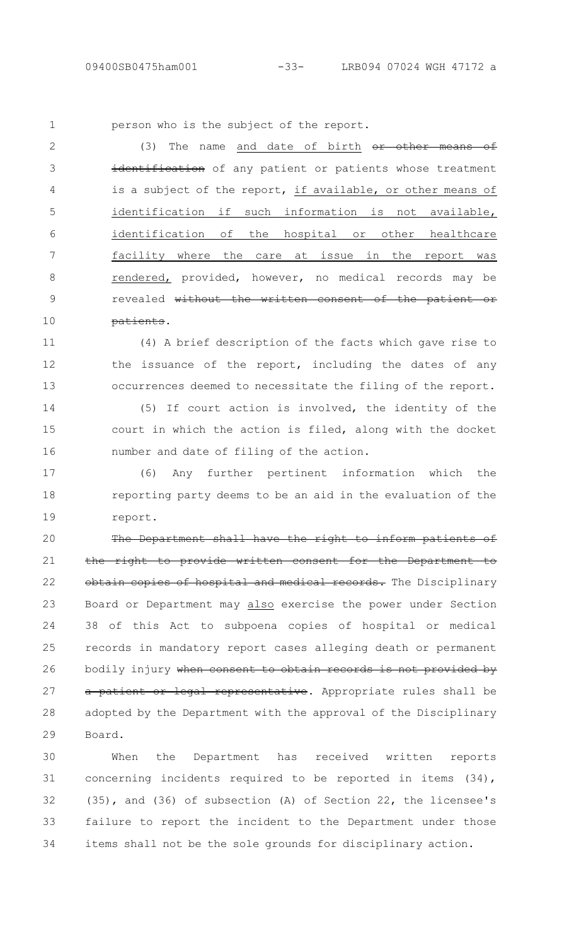person who is the subject of the report. 1

(3) The name and date of birth or other means of identification of any patient or patients whose treatment is a subject of the report, if available, or other means of identification if such information is not available, identification of the hospital or other healthcare facility where the care at issue in the report was rendered, provided, however, no medical records may be revealed without the written consent of the patient or patients.  $\mathcal{P}$ 3 4 5 6 7 8 9 10

(4) A brief description of the facts which gave rise to the issuance of the report, including the dates of any occurrences deemed to necessitate the filing of the report. 11 12 13

(5) If court action is involved, the identity of the court in which the action is filed, along with the docket number and date of filing of the action. 14 15 16

(6) Any further pertinent information which the reporting party deems to be an aid in the evaluation of the report. 17 18 19

The Department shall have the right to inform patients of the right to provide written consent for the Department to obtain copies of hospital and medical records. The Disciplinary Board or Department may also exercise the power under Section 38 of this Act to subpoena copies of hospital or medical records in mandatory report cases alleging death or permanent bodily injury when consent to obtain records is not provided by a patient or legal representative. Appropriate rules shall be adopted by the Department with the approval of the Disciplinary Board. 20 21 22 23 24 25 26 27 28 29

When the Department has received written reports concerning incidents required to be reported in items (34), (35), and (36) of subsection (A) of Section 22, the licensee's failure to report the incident to the Department under those items shall not be the sole grounds for disciplinary action. 30 31 32 33 34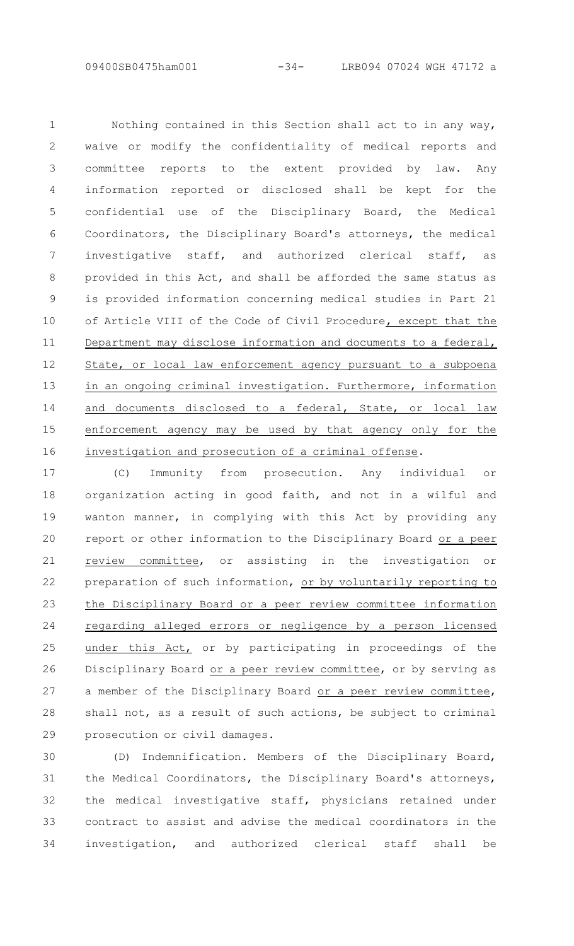Nothing contained in this Section shall act to in any way, waive or modify the confidentiality of medical reports and committee reports to the extent provided by law. Any information reported or disclosed shall be kept for the confidential use of the Disciplinary Board, the Medical Coordinators, the Disciplinary Board's attorneys, the medical investigative staff, and authorized clerical staff, as provided in this Act, and shall be afforded the same status as is provided information concerning medical studies in Part 21 of Article VIII of the Code of Civil Procedure, except that the Department may disclose information and documents to a federal, State, or local law enforcement agency pursuant to a subpoena in an ongoing criminal investigation. Furthermore, information and documents disclosed to a federal, State, or local law enforcement agency may be used by that agency only for the investigation and prosecution of a criminal offense. 1  $\mathcal{P}$ 3 4 5 6 7 8 9 10 11 12 13 14 15 16

(C) Immunity from prosecution. Any individual or organization acting in good faith, and not in a wilful and wanton manner, in complying with this Act by providing any report or other information to the Disciplinary Board or a peer review committee, or assisting in the investigation or preparation of such information, or by voluntarily reporting to the Disciplinary Board or a peer review committee information regarding alleged errors or negligence by a person licensed under this Act, or by participating in proceedings of the Disciplinary Board or a peer review committee, or by serving as a member of the Disciplinary Board or a peer review committee, shall not, as a result of such actions, be subject to criminal prosecution or civil damages. 17 18 19 20 21 22 23 24 25 26 27 28 29

(D) Indemnification. Members of the Disciplinary Board, the Medical Coordinators, the Disciplinary Board's attorneys, the medical investigative staff, physicians retained under contract to assist and advise the medical coordinators in the investigation, and authorized clerical staff shall be 30 31 32 33 34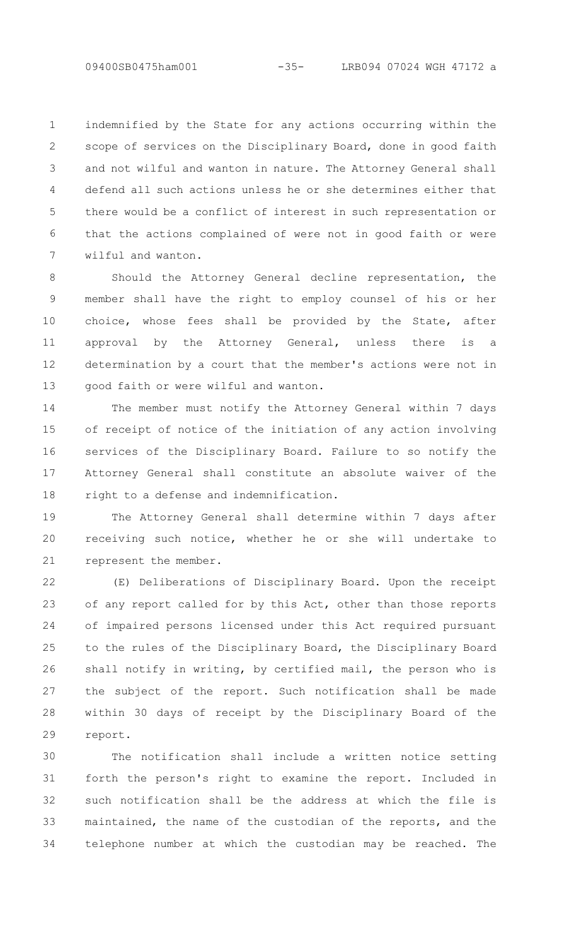indemnified by the State for any actions occurring within the scope of services on the Disciplinary Board, done in good faith and not wilful and wanton in nature. The Attorney General shall defend all such actions unless he or she determines either that there would be a conflict of interest in such representation or that the actions complained of were not in good faith or were wilful and wanton. 1 2 3 4 5 6 7

Should the Attorney General decline representation, the member shall have the right to employ counsel of his or her choice, whose fees shall be provided by the State, after approval by the Attorney General, unless there is a determination by a court that the member's actions were not in good faith or were wilful and wanton. 8 9 10 11 12 13

The member must notify the Attorney General within 7 days of receipt of notice of the initiation of any action involving services of the Disciplinary Board. Failure to so notify the Attorney General shall constitute an absolute waiver of the right to a defense and indemnification. 14 15 16 17 18

The Attorney General shall determine within 7 days after receiving such notice, whether he or she will undertake to represent the member. 19 20 21

(E) Deliberations of Disciplinary Board. Upon the receipt of any report called for by this Act, other than those reports of impaired persons licensed under this Act required pursuant to the rules of the Disciplinary Board, the Disciplinary Board shall notify in writing, by certified mail, the person who is the subject of the report. Such notification shall be made within 30 days of receipt by the Disciplinary Board of the report. 22 23  $24$ 25 26 27 28 29

The notification shall include a written notice setting forth the person's right to examine the report. Included in such notification shall be the address at which the file is maintained, the name of the custodian of the reports, and the telephone number at which the custodian may be reached. The 30 31 32 33 34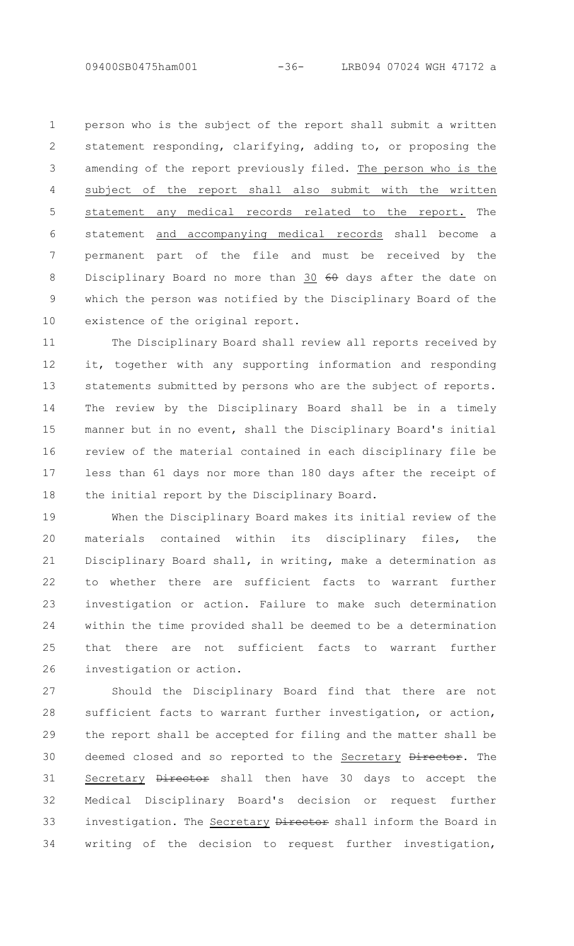person who is the subject of the report shall submit a written statement responding, clarifying, adding to, or proposing the amending of the report previously filed. The person who is the subject of the report shall also submit with the written statement any medical records related to the report. The statement and accompanying medical records shall become a permanent part of the file and must be received by the Disciplinary Board no more than 30 60 days after the date on which the person was notified by the Disciplinary Board of the existence of the original report. 1  $\mathcal{P}$ 3 4 5 6 7 8 9 10

The Disciplinary Board shall review all reports received by it, together with any supporting information and responding statements submitted by persons who are the subject of reports. The review by the Disciplinary Board shall be in a timely manner but in no event, shall the Disciplinary Board's initial review of the material contained in each disciplinary file be less than 61 days nor more than 180 days after the receipt of the initial report by the Disciplinary Board. 11 12 13 14 15 16 17 18

When the Disciplinary Board makes its initial review of the materials contained within its disciplinary files, the Disciplinary Board shall, in writing, make a determination as to whether there are sufficient facts to warrant further investigation or action. Failure to make such determination within the time provided shall be deemed to be a determination that there are not sufficient facts to warrant further investigation or action. 19 20 21 22 23 24 25 26

Should the Disciplinary Board find that there are not sufficient facts to warrant further investigation, or action, the report shall be accepted for filing and the matter shall be deemed closed and so reported to the Secretary Director. The Secretary Director shall then have 30 days to accept the Medical Disciplinary Board's decision or request further investigation. The Secretary Director shall inform the Board in writing of the decision to request further investigation, 27 28 29 30 31 32 33 34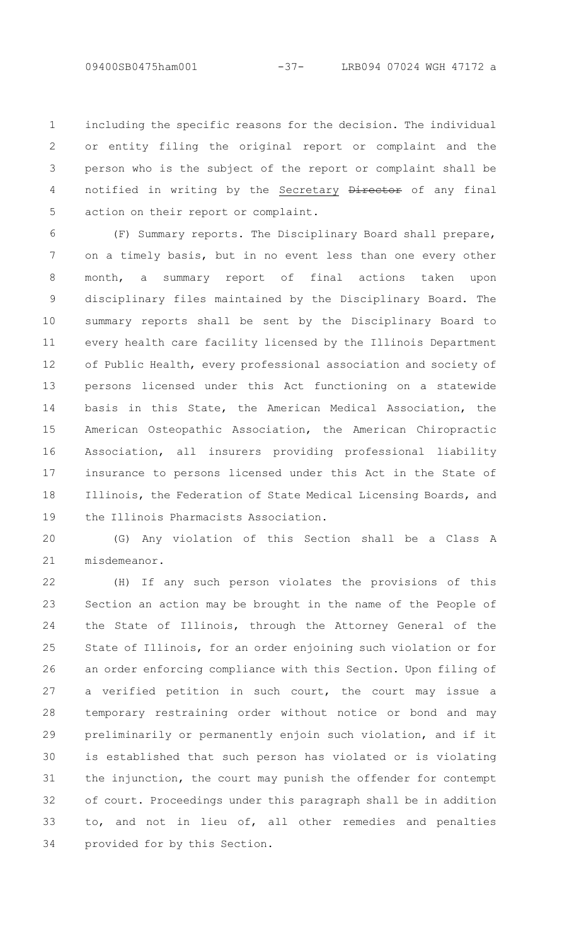including the specific reasons for the decision. The individual or entity filing the original report or complaint and the person who is the subject of the report or complaint shall be notified in writing by the Secretary Director of any final action on their report or complaint. 1 2 3 4 5

(F) Summary reports. The Disciplinary Board shall prepare, on a timely basis, but in no event less than one every other month, a summary report of final actions taken upon disciplinary files maintained by the Disciplinary Board. The summary reports shall be sent by the Disciplinary Board to every health care facility licensed by the Illinois Department of Public Health, every professional association and society of persons licensed under this Act functioning on a statewide basis in this State, the American Medical Association, the American Osteopathic Association, the American Chiropractic Association, all insurers providing professional liability insurance to persons licensed under this Act in the State of Illinois, the Federation of State Medical Licensing Boards, and the Illinois Pharmacists Association. 6 7 8 9 10 11 12 13 14 15 16 17 18 19

(G) Any violation of this Section shall be a Class A misdemeanor. 20 21

(H) If any such person violates the provisions of this Section an action may be brought in the name of the People of the State of Illinois, through the Attorney General of the State of Illinois, for an order enjoining such violation or for an order enforcing compliance with this Section. Upon filing of a verified petition in such court, the court may issue a temporary restraining order without notice or bond and may preliminarily or permanently enjoin such violation, and if it is established that such person has violated or is violating the injunction, the court may punish the offender for contempt of court. Proceedings under this paragraph shall be in addition to, and not in lieu of, all other remedies and penalties provided for by this Section. 22 23 24 25 26 27 28 29 30 31 32 33 34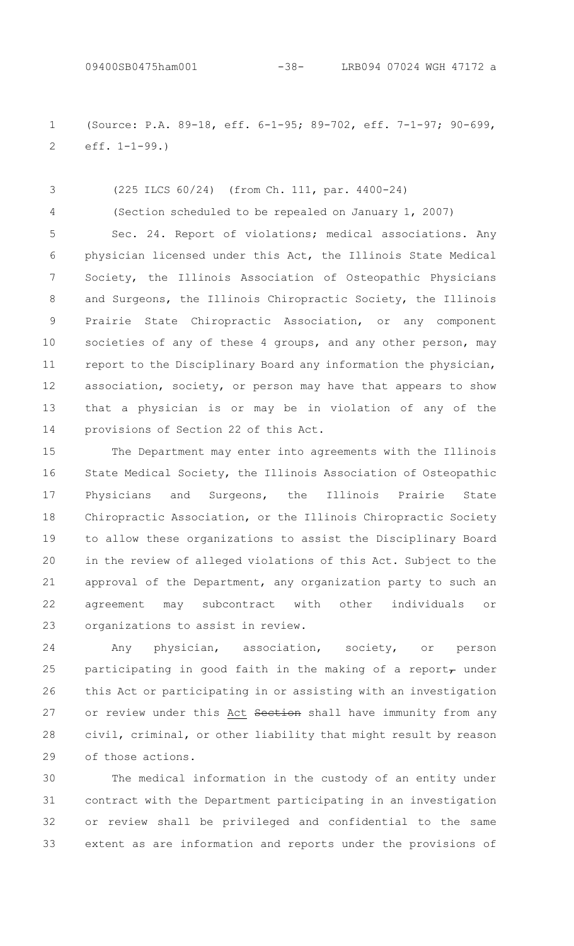(Source: P.A. 89-18, eff. 6-1-95; 89-702, eff. 7-1-97; 90-699, eff. 1-1-99.) 1 2

(225 ILCS 60/24) (from Ch. 111, par. 4400-24) (Section scheduled to be repealed on January 1, 2007) Sec. 24. Report of violations; medical associations. Any physician licensed under this Act, the Illinois State Medical Society, the Illinois Association of Osteopathic Physicians and Surgeons, the Illinois Chiropractic Society, the Illinois Prairie State Chiropractic Association, or any component societies of any of these 4 groups, and any other person, may report to the Disciplinary Board any information the physician, association, society, or person may have that appears to show that a physician is or may be in violation of any of the provisions of Section 22 of this Act. 3 4 5 6 7 8 9 10 11 12 13 14

The Department may enter into agreements with the Illinois State Medical Society, the Illinois Association of Osteopathic Physicians and Surgeons, the Illinois Prairie State Chiropractic Association, or the Illinois Chiropractic Society to allow these organizations to assist the Disciplinary Board in the review of alleged violations of this Act. Subject to the approval of the Department, any organization party to such an agreement may subcontract with other individuals or organizations to assist in review. 15 16 17 18 19 20 21 22 23

Any physician, association, society, or person participating in good faith in the making of a report $<sub>7</sub>$  under</sub> this Act or participating in or assisting with an investigation or review under this Act Section shall have immunity from any civil, criminal, or other liability that might result by reason of those actions. 24 25 26 27 28 29

The medical information in the custody of an entity under contract with the Department participating in an investigation or review shall be privileged and confidential to the same extent as are information and reports under the provisions of 30 31 32 33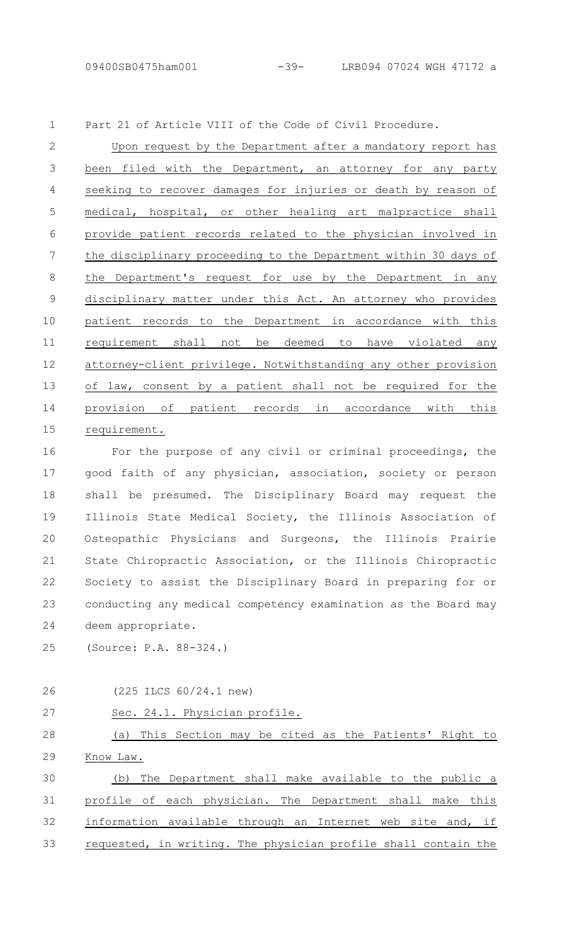Part 21 of Article VIII of the Code of Civil Procedure. 1

Upon request by the Department after a mandatory report has been filed with the Department, an attorney for any party seeking to recover damages for injuries or death by reason of medical, hospital, or other healing art malpractice shall provide patient records related to the physician involved in the disciplinary proceeding to the Department within 30 days of the Department's request for use by the Department in any disciplinary matter under this Act. An attorney who provides patient records to the Department in accordance with this requirement shall not be deemed to have violated any attorney-client privilege. Notwithstanding any other provision of law, consent by a patient shall not be required for the provision of patient records in accordance with this requirement.  $\mathcal{P}$ 3 4 5 6 7 8 9 10 11 12 13 14 15

For the purpose of any civil or criminal proceedings, the good faith of any physician, association, society or person shall be presumed. The Disciplinary Board may request the Illinois State Medical Society, the Illinois Association of Osteopathic Physicians and Surgeons, the Illinois Prairie State Chiropractic Association, or the Illinois Chiropractic Society to assist the Disciplinary Board in preparing for or conducting any medical competency examination as the Board may deem appropriate. 16 17 18 19 20 21 22 23 24

(Source: P.A. 88-324.) 25

26

(225 ILCS 60/24.1 new)

Sec. 24.1. Physician profile. (a) This Section may be cited as the Patients' Right to Know Law. (b) The Department shall make available to the public a profile of each physician. The Department shall make this information available through an Internet web site and, if requested, in writing. The physician profile shall contain the 27 28 29 30 31 32 33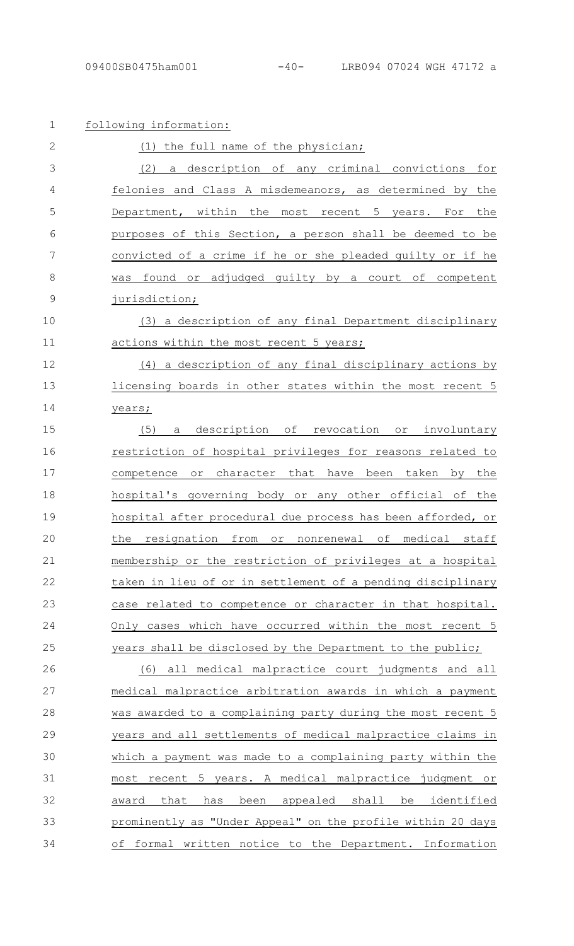| $\mathbf 1$  | following information:                                      |
|--------------|-------------------------------------------------------------|
| $\mathbf{2}$ | (1) the full name of the physician;                         |
| 3            | (2)<br>a description of any criminal convictions for        |
| 4            | felonies and Class A misdemeanors, as determined by<br>the  |
| 5            | Department, within the most recent 5 years. For the         |
| 6            | purposes of this Section, a person shall be deemed to be    |
| 7            | convicted of a crime if he or she pleaded quilty or if he   |
| 8            | found or adjudged quilty by a court of competent<br>was     |
| 9            | jurisdiction;                                               |
| 10           | a description of any final Department disciplinary<br>(3)   |
| 11           | actions within the most recent 5 years;                     |
| 12           | (4)<br>a description of any final disciplinary actions by   |
| 13           | licensing boards in other states within the most recent 5   |
| 14           | years;                                                      |
| 15           | description of revocation or involuntary<br>(5)<br>a        |
| 16           | restriction of hospital privileges for reasons related to   |
| 17           | competence<br>or character that have been taken by the      |
| 18           | hospital's governing body or any other official of the      |
| 19           | hospital after procedural due process has been afforded, or |
| 20           | the resignation from or nonrenewal of medical staff         |
| 21           | membership or the restriction of privileges at a hospital   |
| 22           | taken in lieu of or in settlement of a pending disciplinary |
| 23           | case related to competence or character in that hospital.   |
| 24           | Only cases which have occurred within the most recent 5     |
| 25           | years shall be disclosed by the Department to the public;   |
| 26           | (6) all medical malpractice court judgments and all         |
| 27           | medical malpractice arbitration awards in which a payment   |
| 28           | was awarded to a complaining party during the most recent 5 |
| 29           | years and all settlements of medical malpractice claims in  |
| 30           | which a payment was made to a complaining party within the  |
| 31           | most recent 5 years. A medical malpractice judgment or      |
| 32           | been appealed shall be identified<br>award<br>that<br>has   |
| 33           | prominently as "Under Appeal" on the profile within 20 days |
| 34           | of formal written notice to the Department. Information     |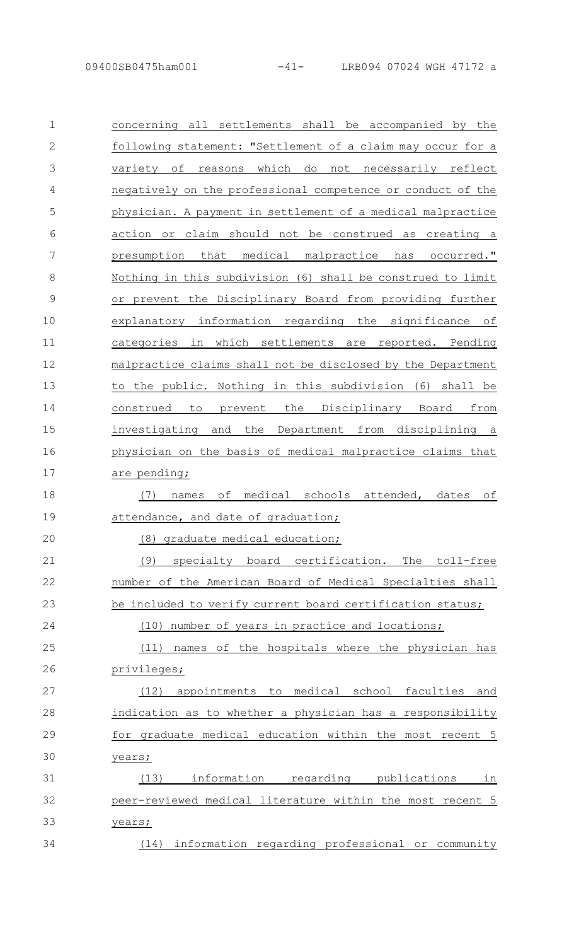| $\mathbf{1}$  |                                                                    |
|---------------|--------------------------------------------------------------------|
|               | concerning all settlements shall be accompanied by the             |
| $\mathbf{2}$  | following statement: "Settlement of a claim may occur for a        |
| 3             | variety of<br>which<br>do<br>not<br>necessarily reflect<br>reasons |
| 4             | negatively on the professional competence or conduct of the        |
| 5             | physician. A payment in settlement of a medical malpractice        |
| 6             | action or claim should not be construed as creating a              |
| 7             | presumption that medical malpractice has occurred."                |
| 8             | Nothing in this subdivision (6) shall be construed to limit        |
| $\mathcal{G}$ | or prevent the Disciplinary Board from providing further           |
| 10            | explanatory information regarding the significance of              |
| 11            | categories in which settlements are reported. Pending              |
| 12            | malpractice claims shall not be disclosed by the Department        |
| 13            | to the public. Nothing in this subdivision (6) shall be            |
| 14            | the<br>Disciplinary Board<br>from<br>construed<br>to<br>prevent    |
| 15            | investigating and the<br>Department from disciplining a            |
| 16            | physician on the basis of medical malpractice claims that          |
| 17            | are pending;                                                       |
| 18            | medical schools attended, dates<br>оf<br>оf<br>(7)<br>names        |
| 19            | attendance, and date of graduation;                                |
| 20            | (8) graduate medical education;                                    |
| 21            | The toll-free<br>(9)<br>specialty board certification.             |
| 22            | number of the American Board of Medical Specialties shall          |
| 23            | be included to verify current board certification status;          |
| 24            | number of years in practice and locations;<br>(10)                 |
|               |                                                                    |
| 25            | names of the hospitals where the physician has<br>(11)             |
| 26            | privileges;                                                        |
| 27            | (12) appointments to medical school faculties and                  |
| 28            | indication as to whether a physician has a responsibility          |
| 29            | for graduate medical education within the most recent 5            |
| 30            | years;                                                             |
| 31            | (13)<br>information regarding publications<br>in                   |
| 32            | peer-reviewed medical literature within the most recent 5          |
| 33            | years;                                                             |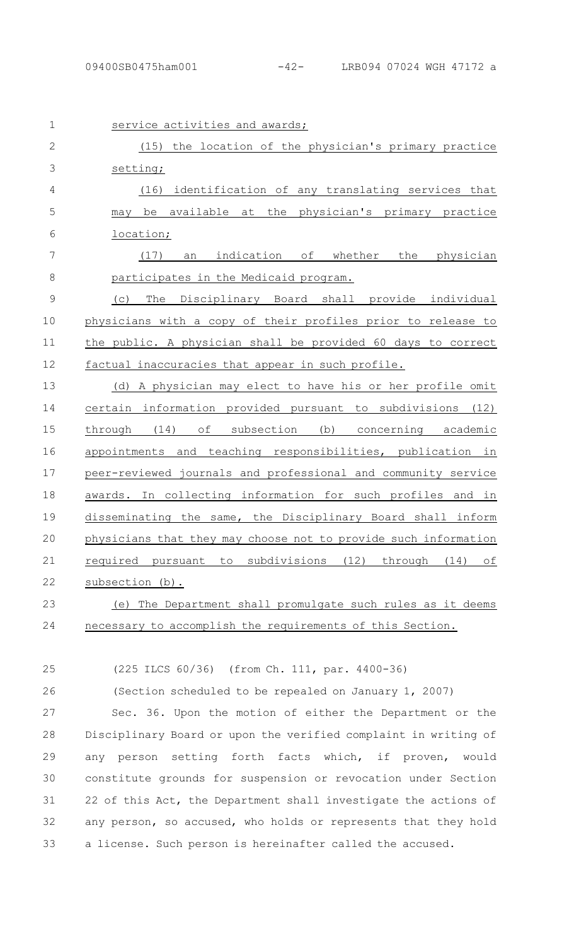| $\mathbf 1$    | service activities and awards;                                              |
|----------------|-----------------------------------------------------------------------------|
| $\overline{2}$ | the location of the physician's primary practice<br>(15)                    |
| 3              | setting;                                                                    |
| $\overline{4}$ | identification of any translating services that<br>(16)                     |
| 5              | available at the physician's primary practice<br>be<br>may                  |
| 6              | location;                                                                   |
| 7              | indication of whether<br>the physician<br>(17)<br>an                        |
| 8              | participates in the Medicaid program.                                       |
| $\mathcal{G}$  | Disciplinary Board shall provide individual<br>The<br>(C)                   |
| 10             | physicians with a copy of their profiles prior to release to                |
| 11             | the public. A physician shall be provided 60 days to correct                |
| 12             | factual inaccuracies that appear in such profile.                           |
| 13             | (d) A physician may elect to have his or her profile omit                   |
| 14             | certain information provided pursuant to subdivisions (12)                  |
| 15             | through (14)<br>of<br>subsection<br>(b)<br>concerning academic              |
| 16             | appointments and teaching responsibilities, publication in                  |
| 17             | peer-reviewed journals and professional and community service               |
| 18             | awards. In collecting information for such profiles and in                  |
| 19             | disseminating the same, the Disciplinary Board shall inform                 |
| 20             | physicians that they may choose not to provide such information             |
| 21             | required<br>subdivisions<br>(12)<br>through<br>(14)<br>оf<br>pursuant<br>to |
| 22             | subsection (b).                                                             |
| 23             | The Department shall promulgate such rules as it deems<br>(e)               |
| 24             | necessary to accomplish the requirements of this Section.                   |
|                |                                                                             |

25

(225 ILCS 60/36) (from Ch. 111, par. 4400-36)

(Section scheduled to be repealed on January 1, 2007) 26

Sec. 36. Upon the motion of either the Department or the Disciplinary Board or upon the verified complaint in writing of any person setting forth facts which, if proven, would constitute grounds for suspension or revocation under Section 22 of this Act, the Department shall investigate the actions of any person, so accused, who holds or represents that they hold a license. Such person is hereinafter called the accused. 27 28 29 30 31 32 33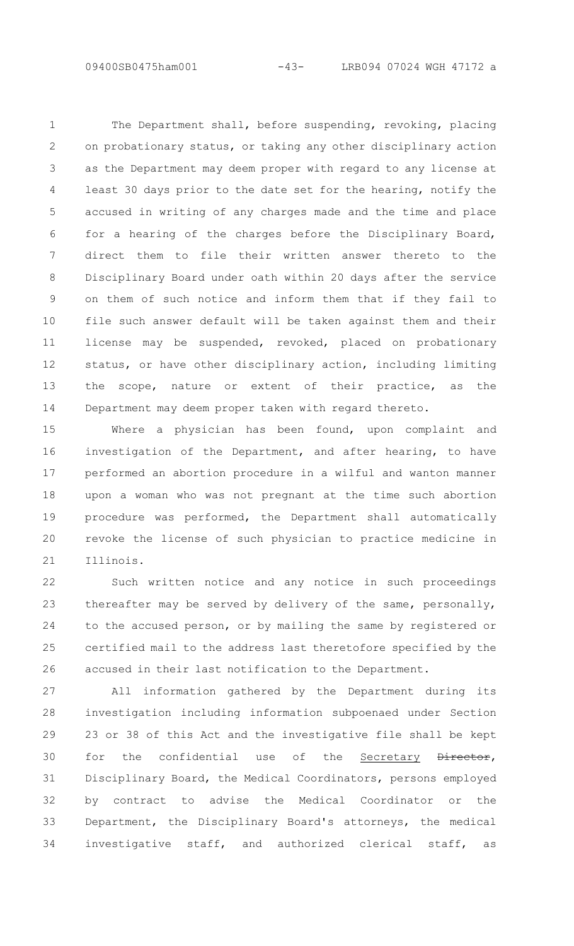The Department shall, before suspending, revoking, placing on probationary status, or taking any other disciplinary action as the Department may deem proper with regard to any license at least 30 days prior to the date set for the hearing, notify the accused in writing of any charges made and the time and place for a hearing of the charges before the Disciplinary Board, direct them to file their written answer thereto to the Disciplinary Board under oath within 20 days after the service on them of such notice and inform them that if they fail to file such answer default will be taken against them and their license may be suspended, revoked, placed on probationary status, or have other disciplinary action, including limiting the scope, nature or extent of their practice, as the Department may deem proper taken with regard thereto. 1 2 3 4 5 6 7 8 9 10 11 12 13 14

Where a physician has been found, upon complaint and investigation of the Department, and after hearing, to have performed an abortion procedure in a wilful and wanton manner upon a woman who was not pregnant at the time such abortion procedure was performed, the Department shall automatically revoke the license of such physician to practice medicine in Illinois. 15 16 17 18 19 20 21

Such written notice and any notice in such proceedings thereafter may be served by delivery of the same, personally, to the accused person, or by mailing the same by registered or certified mail to the address last theretofore specified by the accused in their last notification to the Department. 22 23 24 25 26

All information gathered by the Department during its investigation including information subpoenaed under Section 23 or 38 of this Act and the investigative file shall be kept for the confidential use of the Secretary Director, Disciplinary Board, the Medical Coordinators, persons employed by contract to advise the Medical Coordinator or the Department, the Disciplinary Board's attorneys, the medical investigative staff, and authorized clerical staff, as 27 28 29 30 31 32 33 34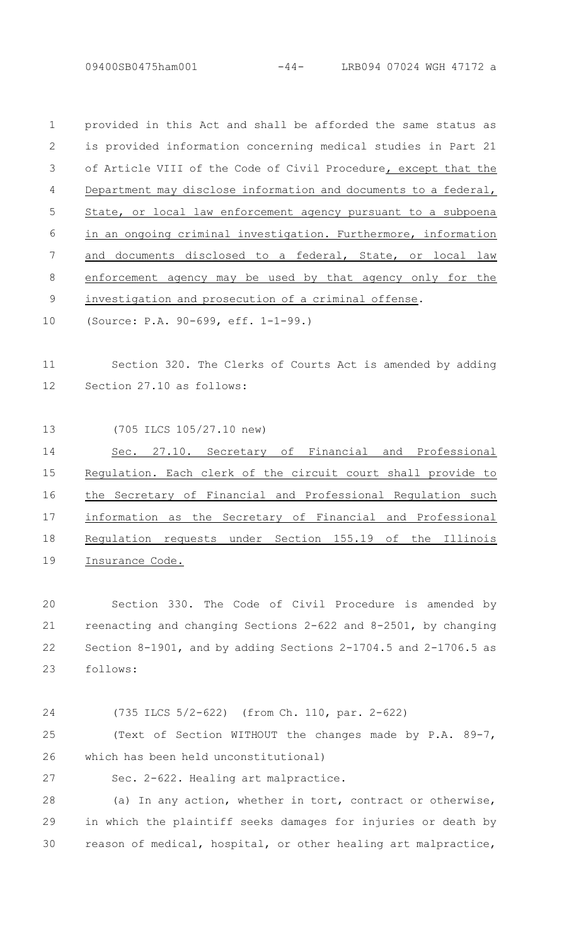provided in this Act and shall be afforded the same status as is provided information concerning medical studies in Part 21 of Article VIII of the Code of Civil Procedure, except that the Department may disclose information and documents to a federal, State, or local law enforcement agency pursuant to a subpoena in an ongoing criminal investigation. Furthermore, information and documents disclosed to a federal, State, or local law enforcement agency may be used by that agency only for the investigation and prosecution of a criminal offense. 1  $\mathcal{P}$ 3 4 5 6 7 8 9

(Source: P.A. 90-699, eff. 1-1-99.) 10

#### Section 320. The Clerks of Courts Act is amended by adding Section 27.10 as follows: 11 12

(705 ILCS 105/27.10 new) 13

Sec. 27.10. Secretary of Financial and Professional Regulation. Each clerk of the circuit court shall provide to the Secretary of Financial and Professional Regulation such information as the Secretary of Financial and Professional Regulation requests under Section 155.19 of the Illinois Insurance Code. 14 15 16 17 18 19

Section 330. The Code of Civil Procedure is amended by reenacting and changing Sections 2-622 and 8-2501, by changing Section 8-1901, and by adding Sections 2-1704.5 and 2-1706.5 as follows: 20 21 22 23

24

(735 ILCS 5/2-622) (from Ch. 110, par. 2-622)

(Text of Section WITHOUT the changes made by P.A. 89-7, which has been held unconstitutional) 25 26

27

Sec. 2-622. Healing art malpractice.

(a) In any action, whether in tort, contract or otherwise, in which the plaintiff seeks damages for injuries or death by reason of medical, hospital, or other healing art malpractice, 28 29 30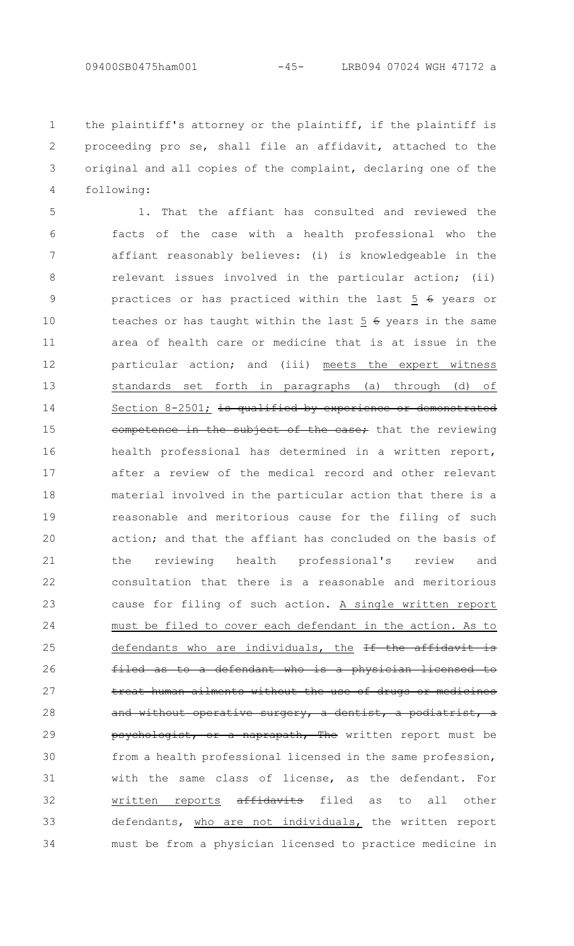the plaintiff's attorney or the plaintiff, if the plaintiff is proceeding pro se, shall file an affidavit, attached to the original and all copies of the complaint, declaring one of the following: 1 2 3 4

1. That the affiant has consulted and reviewed the facts of the case with a health professional who the affiant reasonably believes: (i) is knowledgeable in the relevant issues involved in the particular action; (ii) practices or has practiced within the last 5 6 years or teaches or has taught within the last  $5 \div 6$  years in the same area of health care or medicine that is at issue in the particular action; and (iii) meets the expert witness standards set forth in paragraphs (a) through (d) of Section 8-2501; is qualified by experience or demonstrated competence in the subject of the case; that the reviewing health professional has determined in a written report, after a review of the medical record and other relevant material involved in the particular action that there is a reasonable and meritorious cause for the filing of such action; and that the affiant has concluded on the basis of the reviewing health professional's review and consultation that there is a reasonable and meritorious cause for filing of such action. A single written report must be filed to cover each defendant in the action. As to defendants who are individuals, the If the affidavit is to a defendant who is a physician licensed treat human ailments without the use of drugs or medicines and without operative surgery, a dentist, a podiatrist, a psychologist, or a naprapath, The written report must be from a health professional licensed in the same profession, with the same class of license, as the defendant. For written reports affidavits filed as to all other defendants, who are not individuals, the written report must be from a physician licensed to practice medicine in 5 6 7 8 9 10 11 12 13 14 15 16 17 18 19 20 21 22 23 24 25 26 27 28 29 30 31 32 33 34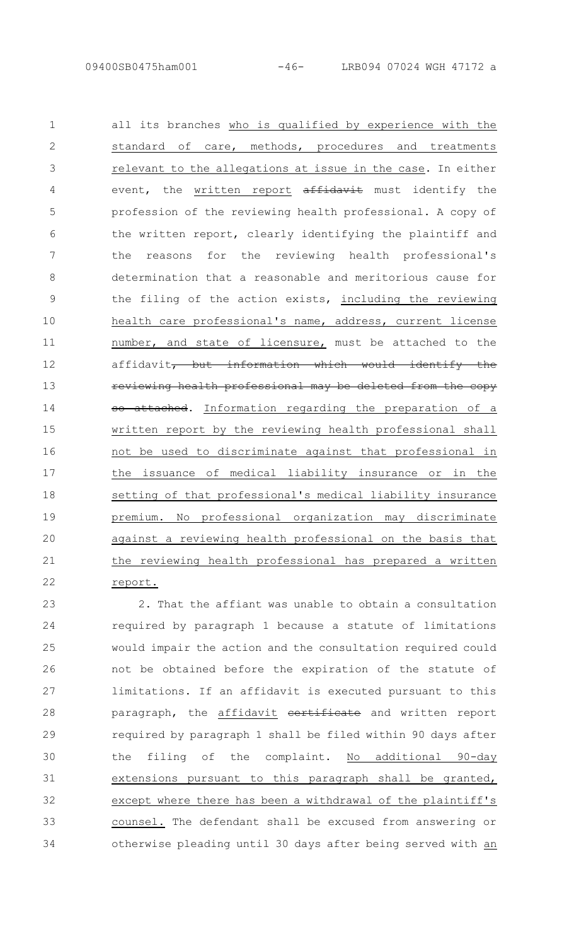all its branches who is qualified by experience with the standard of care, methods, procedures and treatments relevant to the allegations at issue in the case. In either event, the written report affidavit must identify the profession of the reviewing health professional. A copy of the written report, clearly identifying the plaintiff and the reasons for the reviewing health professional's determination that a reasonable and meritorious cause for the filing of the action exists, including the reviewing health care professional's name, address, current license number, and state of licensure, must be attached to the affidavit, but information which would identify the reviewing health professional may be deleted from the copy so attached. Information regarding the preparation of a written report by the reviewing health professional shall not be used to discriminate against that professional in the issuance of medical liability insurance or in the setting of that professional's medical liability insurance premium. No professional organization may discriminate against a reviewing health professional on the basis that the reviewing health professional has prepared a written report. 1 2 3 4 5 6 7 8 9 10 11 12 13 14 15 16 17 18 19 20 21 22

2. That the affiant was unable to obtain a consultation required by paragraph 1 because a statute of limitations would impair the action and the consultation required could not be obtained before the expiration of the statute of limitations. If an affidavit is executed pursuant to this paragraph, the affidavit certificate and written report required by paragraph 1 shall be filed within 90 days after the filing of the complaint. No additional 90-day extensions pursuant to this paragraph shall be granted, except where there has been a withdrawal of the plaintiff's counsel. The defendant shall be excused from answering or otherwise pleading until 30 days after being served with an 23 24 25 26 27 28 29 30 31 32 33 34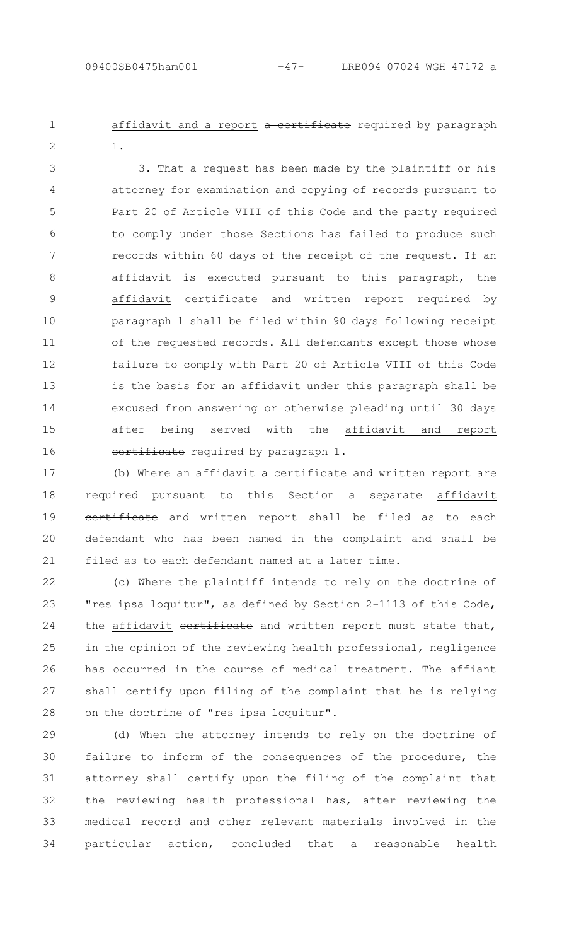affidavit and a report a certificate required by paragraph 1. 1  $\mathcal{P}$ 

3. That a request has been made by the plaintiff or his attorney for examination and copying of records pursuant to Part 20 of Article VIII of this Code and the party required to comply under those Sections has failed to produce such records within 60 days of the receipt of the request. If an affidavit is executed pursuant to this paragraph, the affidavit certificate and written report required by paragraph 1 shall be filed within 90 days following receipt of the requested records. All defendants except those whose failure to comply with Part 20 of Article VIII of this Code is the basis for an affidavit under this paragraph shall be excused from answering or otherwise pleading until 30 days after being served with the affidavit and report certificate required by paragraph 1. 3 4 5 6 7 8 9 10 11 12 13 14 15 16

(b) Where an affidavit a certificate and written report are required pursuant to this Section a separate affidavit eertificate and written report shall be filed as to each defendant who has been named in the complaint and shall be filed as to each defendant named at a later time. 17 18 19 20 21

(c) Where the plaintiff intends to rely on the doctrine of "res ipsa loquitur", as defined by Section 2-1113 of this Code, the affidavit certificate and written report must state that, in the opinion of the reviewing health professional, negligence has occurred in the course of medical treatment. The affiant shall certify upon filing of the complaint that he is relying on the doctrine of "res ipsa loquitur". 22 23 24 25 26 27 28

(d) When the attorney intends to rely on the doctrine of failure to inform of the consequences of the procedure, the attorney shall certify upon the filing of the complaint that the reviewing health professional has, after reviewing the medical record and other relevant materials involved in the particular action, concluded that a reasonable health 29 30 31 32 33 34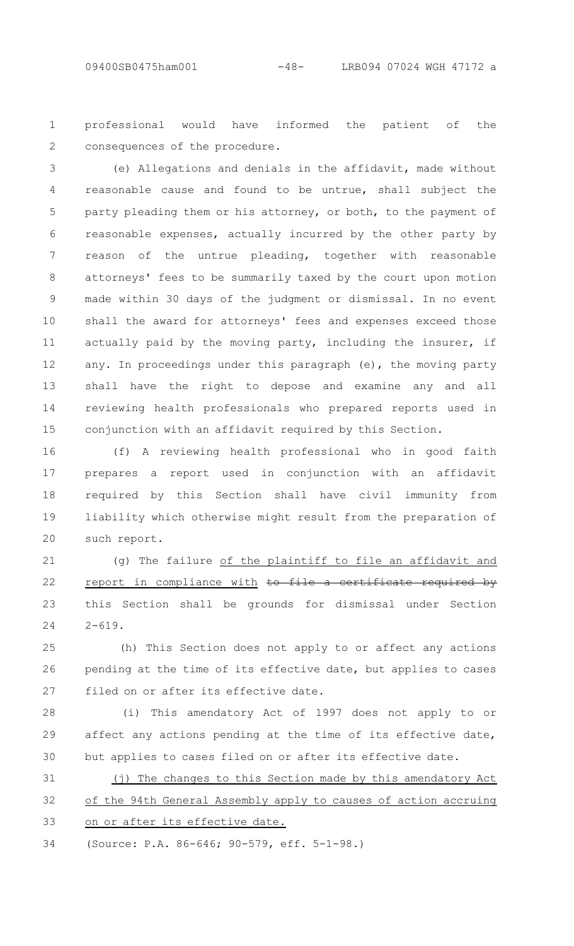professional would have informed the patient of the consequences of the procedure. 1  $\mathcal{P}$ 

(e) Allegations and denials in the affidavit, made without reasonable cause and found to be untrue, shall subject the party pleading them or his attorney, or both, to the payment of reasonable expenses, actually incurred by the other party by reason of the untrue pleading, together with reasonable attorneys' fees to be summarily taxed by the court upon motion made within 30 days of the judgment or dismissal. In no event shall the award for attorneys' fees and expenses exceed those actually paid by the moving party, including the insurer, if any. In proceedings under this paragraph (e), the moving party shall have the right to depose and examine any and all reviewing health professionals who prepared reports used in conjunction with an affidavit required by this Section. 3 4 5 6 7 8 9 10 11 12 13 14 15

(f) A reviewing health professional who in good faith prepares a report used in conjunction with an affidavit required by this Section shall have civil immunity from liability which otherwise might result from the preparation of such report. 16 17 18 19 20

(g) The failure of the plaintiff to file an affidavit and report in compliance with to file a certificate required by this Section shall be grounds for dismissal under Section  $2 - 619$ . 21 22 23  $24$ 

(h) This Section does not apply to or affect any actions pending at the time of its effective date, but applies to cases filed on or after its effective date. 25 26 27

(i) This amendatory Act of 1997 does not apply to or affect any actions pending at the time of its effective date, but applies to cases filed on or after its effective date. 28 29 30

(j) The changes to this Section made by this amendatory Act of the 94th General Assembly apply to causes of action accruing on or after its effective date. 31 32 33

(Source: P.A. 86-646; 90-579, eff. 5-1-98.) 34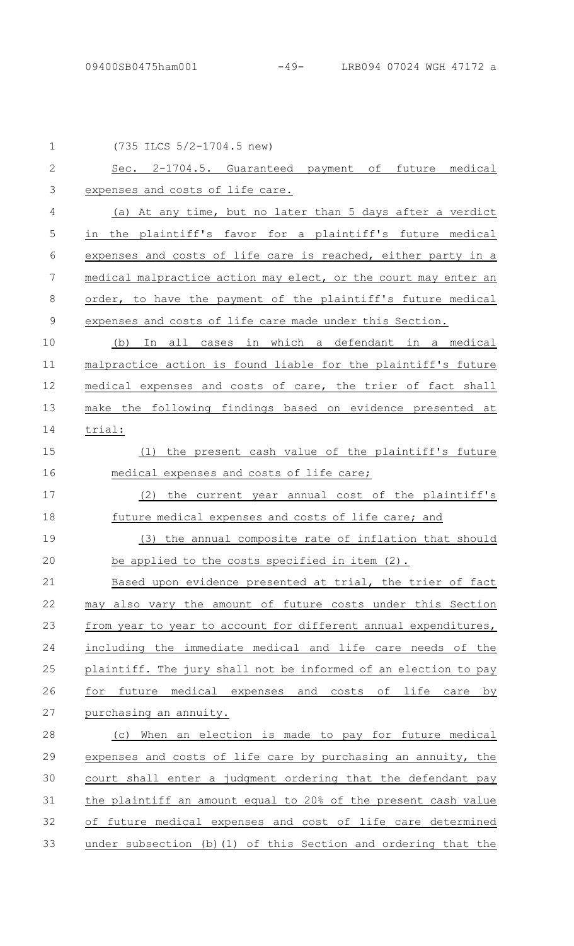| $\mathbf 1$    | (735 ILCS 5/2-1704.5 new)                                       |
|----------------|-----------------------------------------------------------------|
| $\mathbf{2}$   | Sec. 2-1704.5. Guaranteed payment of future medical             |
| 3              | expenses and costs of life care.                                |
| $\overline{4}$ | (a) At any time, but no later than 5 days after a verdict       |
| 5              | in the plaintiff's favor for a plaintiff's future medical       |
| 6              | expenses and costs of life care is reached, either party in a   |
| 7              | medical malpractice action may elect, or the court may enter an |
| 8              | order, to have the payment of the plaintiff's future medical    |
| $\mathcal{G}$  | expenses and costs of life care made under this Section.        |
| 10             | (b) In all cases in which a defendant in a medical              |
| 11             | malpractice action is found liable for the plaintiff's future   |
| 12             | medical expenses and costs of care, the trier of fact shall     |
| 13             | make the following findings based on evidence presented at      |
| 14             | trial:                                                          |
| 15             | (1) the present cash value of the plaintiff's future            |
| 16             | medical expenses and costs of life care;                        |
| 17             | (2) the current year annual cost of the plaintiff's             |
| 18             | future medical expenses and costs of life care; and             |
| 19             | (3) the annual composite rate of inflation that should          |
| 20             | be applied to the costs specified in item (2).                  |
| 21             | Based upon evidence presented at trial, the trier of fact       |
| 22             | may also vary the amount of future costs under this Section     |
| 23             | from year to year to account for different annual expenditures, |
| 24             | including the immediate medical and life care needs of the      |
| 25             | plaintiff. The jury shall not be informed of an election to pay |
| 26             | future medical expenses and costs of life<br>for<br>care by     |
| 27             | purchasing an annuity.                                          |
| 28             | (c) When an election is made to pay for future medical          |
| 29             | expenses and costs of life care by purchasing an annuity, the   |
| 30             | court shall enter a judgment ordering that the defendant pay    |
| 31             | the plaintiff an amount equal to 20% of the present cash value  |
| 32             | of future medical expenses and cost of life care determined     |
| 33             | under subsection (b) (1) of this Section and ordering that the  |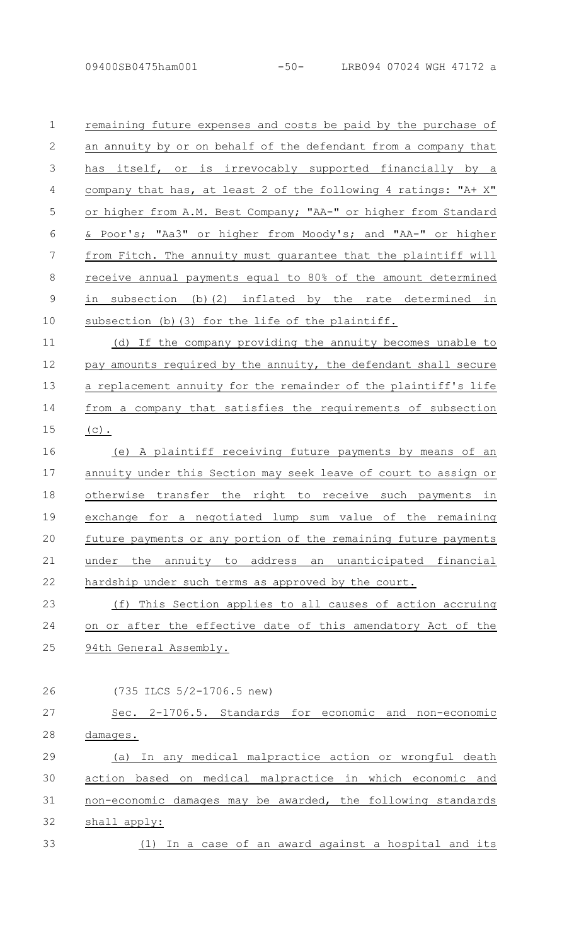remaining future expenses and costs be paid by the purchase of an annuity by or on behalf of the defendant from a company that has itself, or is irrevocably supported financially by a company that has, at least 2 of the following 4 ratings: "A+ X" or higher from A.M. Best Company; "AA-" or higher from Standard & Poor's; "Aa3" or higher from Moody's; and "AA-" or higher from Fitch. The annuity must guarantee that the plaintiff will receive annual payments equal to 80% of the amount determined in subsection (b)(2) inflated by the rate determined in subsection (b)(3) for the life of the plaintiff. (d) If the company providing the annuity becomes unable to 1  $\mathcal{P}$ 3 4 5 6 7 8 9 10 11

pay amounts required by the annuity, the defendant shall secure a replacement annuity for the remainder of the plaintiff's life from a company that satisfies the requirements of subsection  $(c)$ . 12 13 14 15

(e) A plaintiff receiving future payments by means of an annuity under this Section may seek leave of court to assign or otherwise transfer the right to receive such payments in exchange for a negotiated lump sum value of the remaining future payments or any portion of the remaining future payments under the annuity to address an unanticipated financial hardship under such terms as approved by the court. 16 17 18 19 20 21 22

(f) This Section applies to all causes of action accruing on or after the effective date of this amendatory Act of the 94th General Assembly. 23 24 25

26

(735 ILCS 5/2-1706.5 new)

Sec. 2-1706.5. Standards for economic and non-economic damages. (a) In any medical malpractice action or wrongful death 27 28 29

action based on medical malpractice in which economic and non-economic damages may be awarded, the following standards shall apply: (1) In a case of an award against a hospital and its 30 31 32 33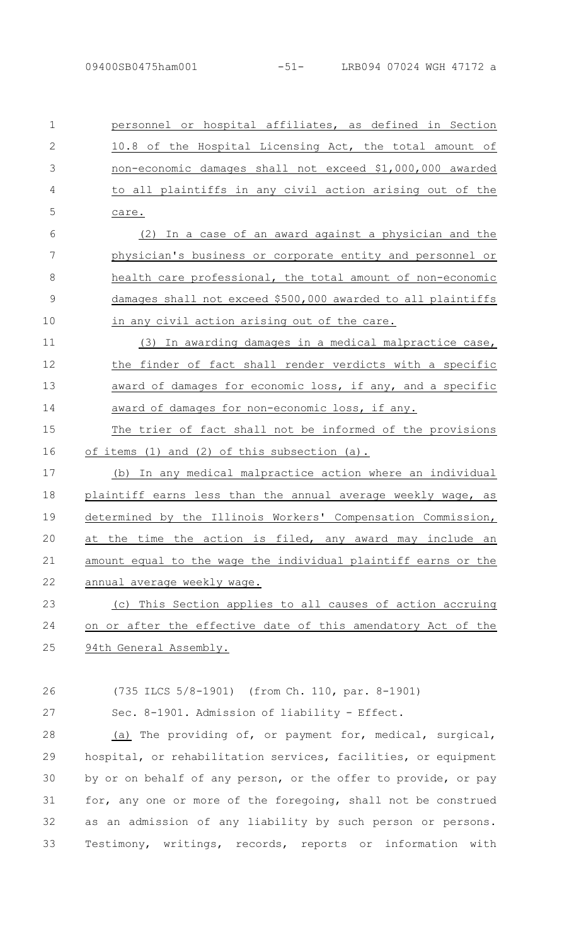personnel or hospital affiliates, as defined in Section 10.8 of the Hospital Licensing Act, the total amount of non-economic damages shall not exceed \$1,000,000 awarded to all plaintiffs in any civil action arising out of the care. 1  $\mathcal{P}$ 3 4 5

(2) In a case of an award against a physician and the physician's business or corporate entity and personnel or health care professional, the total amount of non-economic damages shall not exceed \$500,000 awarded to all plaintiffs in any civil action arising out of the care. 6 7 8 9 10

(3) In awarding damages in a medical malpractice case, the finder of fact shall render verdicts with a specific award of damages for economic loss, if any, and a specific award of damages for non-economic loss, if any. 11 12 13 14

The trier of fact shall not be informed of the provisions of items (1) and (2) of this subsection (a). 15 16

(b) In any medical malpractice action where an individual plaintiff earns less than the annual average weekly wage, as determined by the Illinois Workers' Compensation Commission, at the time the action is filed, any award may include an amount equal to the wage the individual plaintiff earns or the annual average weekly wage. 17 18 19 20 21 22

(c) This Section applies to all causes of action accruing on or after the effective date of this amendatory Act of the 94th General Assembly. 23 24 25

26

27

(735 ILCS 5/8-1901) (from Ch. 110, par. 8-1901)

Sec. 8-1901. Admission of liability - Effect.

(a) The providing of, or payment for, medical, surgical, hospital, or rehabilitation services, facilities, or equipment by or on behalf of any person, or the offer to provide, or pay for, any one or more of the foregoing, shall not be construed as an admission of any liability by such person or persons. Testimony, writings, records, reports or information with 28 29 30 31 32 33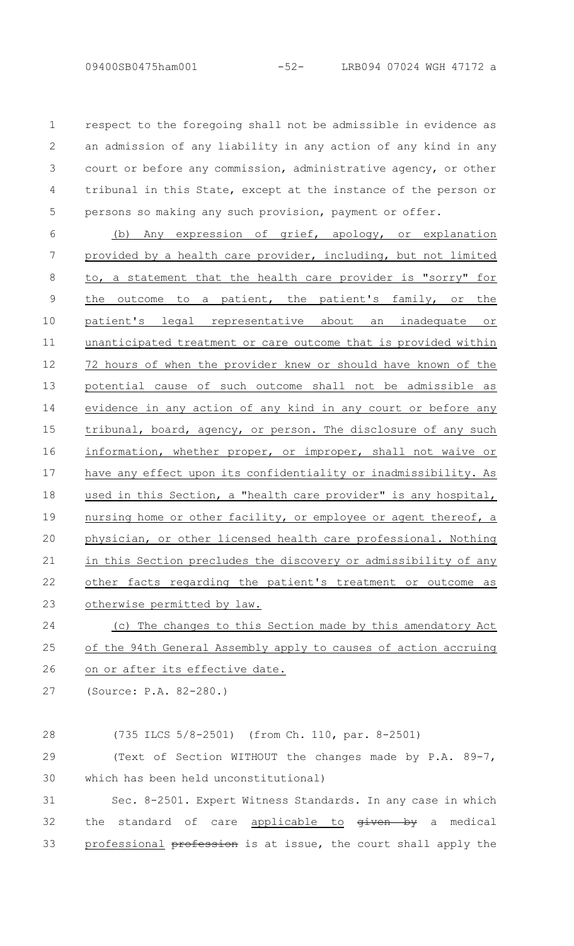respect to the foregoing shall not be admissible in evidence as an admission of any liability in any action of any kind in any court or before any commission, administrative agency, or other tribunal in this State, except at the instance of the person or persons so making any such provision, payment or offer. 1  $\mathcal{P}$ 3 4 5

(b) Any expression of grief, apology, or explanation provided by a health care provider, including, but not limited to, a statement that the health care provider is "sorry" for the outcome to a patient, the patient's family, or the patient's legal representative about an inadequate or unanticipated treatment or care outcome that is provided within 72 hours of when the provider knew or should have known of the potential cause of such outcome shall not be admissible as evidence in any action of any kind in any court or before any tribunal, board, agency, or person. The disclosure of any such information, whether proper, or improper, shall not waive or have any effect upon its confidentiality or inadmissibility. As used in this Section, a "health care provider" is any hospital, nursing home or other facility, or employee or agent thereof, a physician, or other licensed health care professional. Nothing in this Section precludes the discovery or admissibility of any other facts regarding the patient's treatment or outcome as otherwise permitted by law. 6 7 8 9 10 11 12 13 14 15 16 17 18 19 20 21 22 23

(c) The changes to this Section made by this amendatory Act of the 94th General Assembly apply to causes of action accruing on or after its effective date. 24 25 26

(Source: P.A. 82-280.) 27

(735 ILCS 5/8-2501) (from Ch. 110, par. 8-2501) 28

(Text of Section WITHOUT the changes made by P.A. 89-7, which has been held unconstitutional) 29 30

Sec. 8-2501. Expert Witness Standards. In any case in which the standard of care applicable to given by a medical professional profession is at issue, the court shall apply the 31 32 33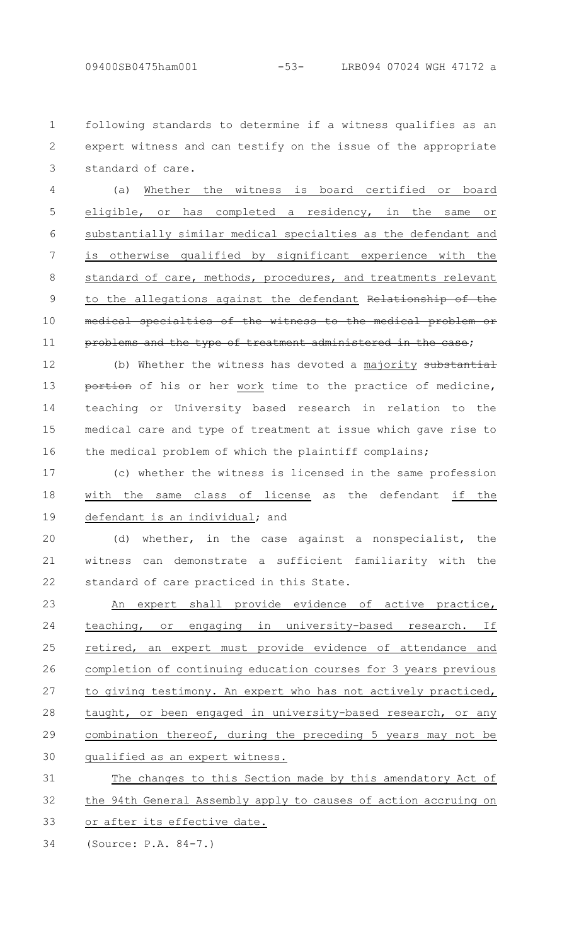following standards to determine if a witness qualifies as an expert witness and can testify on the issue of the appropriate standard of care. 1  $\mathcal{P}$ 3

(a) Whether the witness is board certified or board eligible, or has completed a residency, in the same or substantially similar medical specialties as the defendant and is otherwise qualified by significant experience with the standard of care, methods, procedures, and treatments relevant to the allegations against the defendant Relationship of the medical specialties of the witness to the medical problem or problems and the type of treatment administered in the case; 4 5 6 7 8 9 10 11

(b) Whether the witness has devoted a majority substantial portion of his or her work time to the practice of medicine, teaching or University based research in relation to the medical care and type of treatment at issue which gave rise to the medical problem of which the plaintiff complains; 12 13 14 15 16

(c) whether the witness is licensed in the same profession with the same class of license as the defendant if the defendant is an individual; and 17 18 19

(d) whether, in the case against a nonspecialist, the witness can demonstrate a sufficient familiarity with the standard of care practiced in this State. 20 21 22

An expert shall provide evidence of active practice, teaching, or engaging in university-based research. If retired, an expert must provide evidence of attendance and completion of continuing education courses for 3 years previous to giving testimony. An expert who has not actively practiced, taught, or been engaged in university-based research, or any combination thereof, during the preceding 5 years may not be qualified as an expert witness. 23 24 25 26 27 28 29 30

The changes to this Section made by this amendatory Act of the 94th General Assembly apply to causes of action accruing on or after its effective date. 31 32 33

(Source: P.A. 84-7.) 34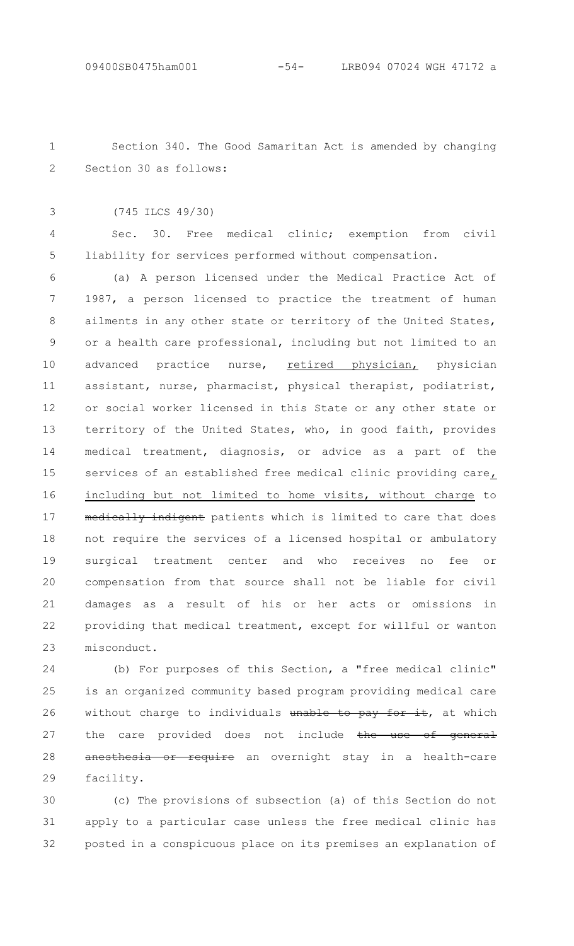Section 340. The Good Samaritan Act is amended by changing Section 30 as follows: 1 2

(745 ILCS 49/30) 3

4

5

Sec. 30. Free medical clinic; exemption from civil liability for services performed without compensation.

(a) A person licensed under the Medical Practice Act of 1987, a person licensed to practice the treatment of human ailments in any other state or territory of the United States, or a health care professional, including but not limited to an advanced practice nurse, retired physician, physician assistant, nurse, pharmacist, physical therapist, podiatrist, or social worker licensed in this State or any other state or territory of the United States, who, in good faith, provides medical treatment, diagnosis, or advice as a part of the services of an established free medical clinic providing care, including but not limited to home visits, without charge to medically indigent patients which is limited to care that does not require the services of a licensed hospital or ambulatory surgical treatment center and who receives no fee or compensation from that source shall not be liable for civil damages as a result of his or her acts or omissions in providing that medical treatment, except for willful or wanton misconduct. 6 7 8 9 10 11 12 13 14 15 16 17 18 19 20 21 22 23

(b) For purposes of this Section, a "free medical clinic" is an organized community based program providing medical care without charge to individuals unable to pay for it, at which the care provided does not include the use of general anesthesia or require an overnight stay in a health-care facility. 24 25 26 27 28 29

(c) The provisions of subsection (a) of this Section do not apply to a particular case unless the free medical clinic has posted in a conspicuous place on its premises an explanation of 30 31 32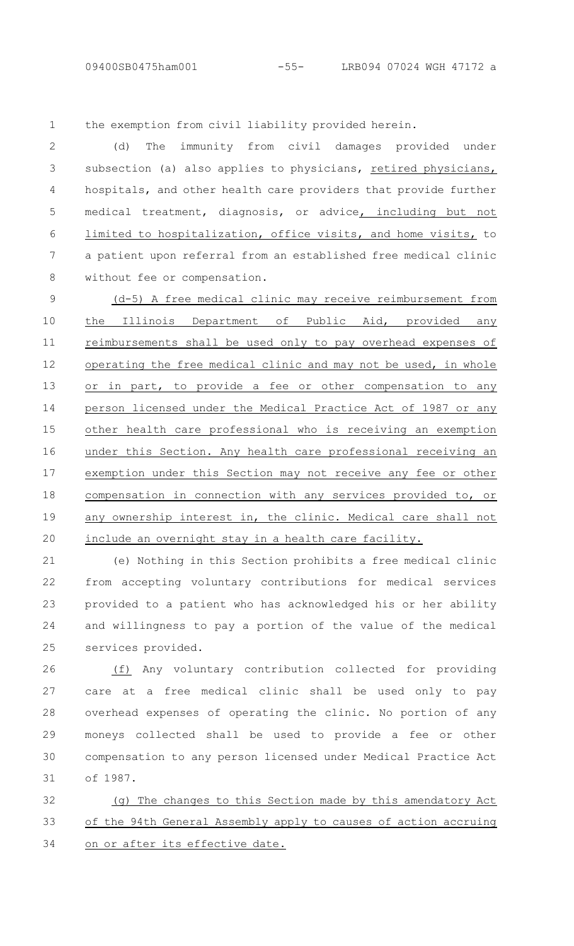the exemption from civil liability provided herein. 1

(d) The immunity from civil damages provided under subsection (a) also applies to physicians, retired physicians, hospitals, and other health care providers that provide further medical treatment, diagnosis, or advice, including but not limited to hospitalization, office visits, and home visits, to a patient upon referral from an established free medical clinic without fee or compensation.  $\mathcal{P}$ 3 4 5 6 7 8

(d-5) A free medical clinic may receive reimbursement from the Illinois Department of Public Aid, provided any reimbursements shall be used only to pay overhead expenses of operating the free medical clinic and may not be used, in whole or in part, to provide a fee or other compensation to any person licensed under the Medical Practice Act of 1987 or any other health care professional who is receiving an exemption under this Section. Any health care professional receiving an exemption under this Section may not receive any fee or other compensation in connection with any services provided to, or any ownership interest in, the clinic. Medical care shall not include an overnight stay in a health care facility. 9 10 11 12 13 14 15 16 17 18 19 20

(e) Nothing in this Section prohibits a free medical clinic from accepting voluntary contributions for medical services provided to a patient who has acknowledged his or her ability and willingness to pay a portion of the value of the medical services provided. 21 22 23 24 25

(f) Any voluntary contribution collected for providing care at a free medical clinic shall be used only to pay overhead expenses of operating the clinic. No portion of any moneys collected shall be used to provide a fee or other compensation to any person licensed under Medical Practice Act of 1987. 26 27 28 29 30 31

(g) The changes to this Section made by this amendatory Act of the 94th General Assembly apply to causes of action accruing on or after its effective date. 32 33 34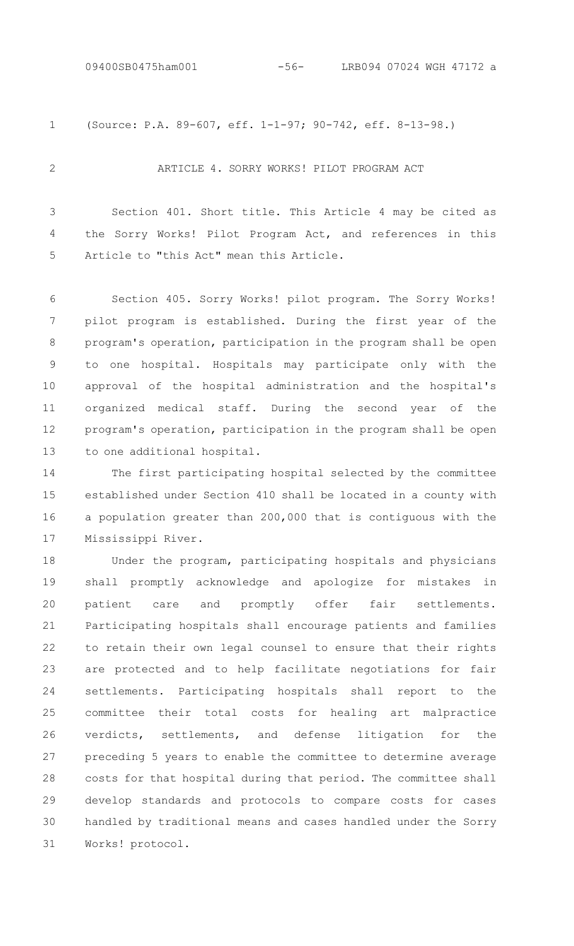(Source: P.A. 89-607, eff. 1-1-97; 90-742, eff. 8-13-98.) 1

2

#### ARTICLE 4. SORRY WORKS! PILOT PROGRAM ACT

Section 401. Short title. This Article 4 may be cited as the Sorry Works! Pilot Program Act, and references in this Article to "this Act" mean this Article. 3 4 5

Section 405. Sorry Works! pilot program. The Sorry Works! pilot program is established. During the first year of the program's operation, participation in the program shall be open to one hospital. Hospitals may participate only with the approval of the hospital administration and the hospital's organized medical staff. During the second year of the program's operation, participation in the program shall be open to one additional hospital. 6 7 8 9 10 11 12 13

The first participating hospital selected by the committee established under Section 410 shall be located in a county with a population greater than 200,000 that is contiguous with the Mississippi River. 14 15 16 17

Under the program, participating hospitals and physicians shall promptly acknowledge and apologize for mistakes in patient care and promptly offer fair settlements. Participating hospitals shall encourage patients and families to retain their own legal counsel to ensure that their rights are protected and to help facilitate negotiations for fair settlements. Participating hospitals shall report to the committee their total costs for healing art malpractice verdicts, settlements, and defense litigation for the preceding 5 years to enable the committee to determine average costs for that hospital during that period. The committee shall develop standards and protocols to compare costs for cases handled by traditional means and cases handled under the Sorry Works! protocol. 18 19 20 21 22 23 24 25 26 27 28 29 30 31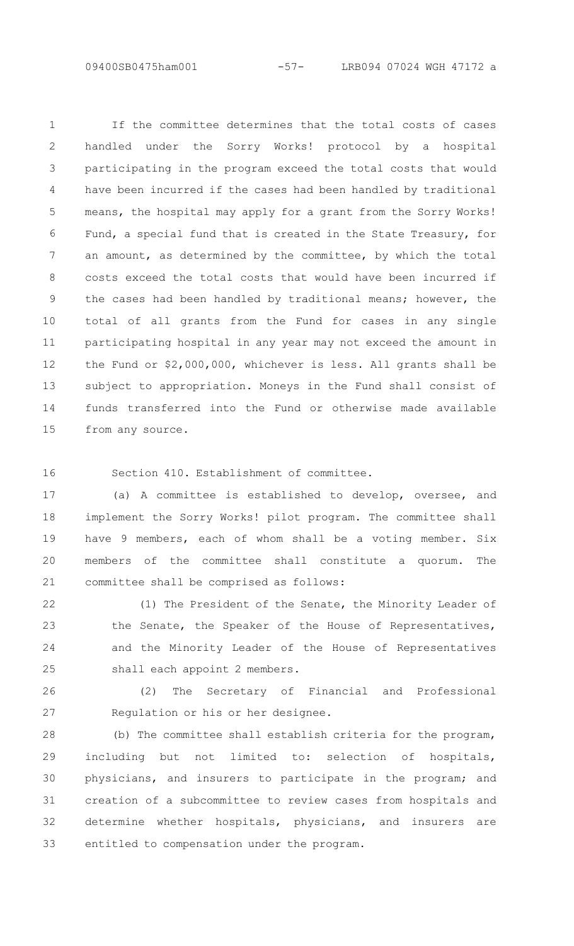If the committee determines that the total costs of cases handled under the Sorry Works! protocol by a hospital participating in the program exceed the total costs that would have been incurred if the cases had been handled by traditional means, the hospital may apply for a grant from the Sorry Works! Fund, a special fund that is created in the State Treasury, for an amount, as determined by the committee, by which the total costs exceed the total costs that would have been incurred if the cases had been handled by traditional means; however, the total of all grants from the Fund for cases in any single participating hospital in any year may not exceed the amount in the Fund or \$2,000,000, whichever is less. All grants shall be subject to appropriation. Moneys in the Fund shall consist of funds transferred into the Fund or otherwise made available from any source. 1 2 3 4 5 6 7 8 9 10 11 12 13 14 15

16

Section 410. Establishment of committee.

(a) A committee is established to develop, oversee, and implement the Sorry Works! pilot program. The committee shall have 9 members, each of whom shall be a voting member. Six members of the committee shall constitute a quorum. The committee shall be comprised as follows: 17 18 19 20 21

(1) The President of the Senate, the Minority Leader of the Senate, the Speaker of the House of Representatives, and the Minority Leader of the House of Representatives shall each appoint 2 members. 22 23 24 25

(2) The Secretary of Financial and Professional Regulation or his or her designee. 26 27

(b) The committee shall establish criteria for the program, including but not limited to: selection of hospitals, physicians, and insurers to participate in the program; and creation of a subcommittee to review cases from hospitals and determine whether hospitals, physicians, and insurers are entitled to compensation under the program. 28 29 30 31 32 33